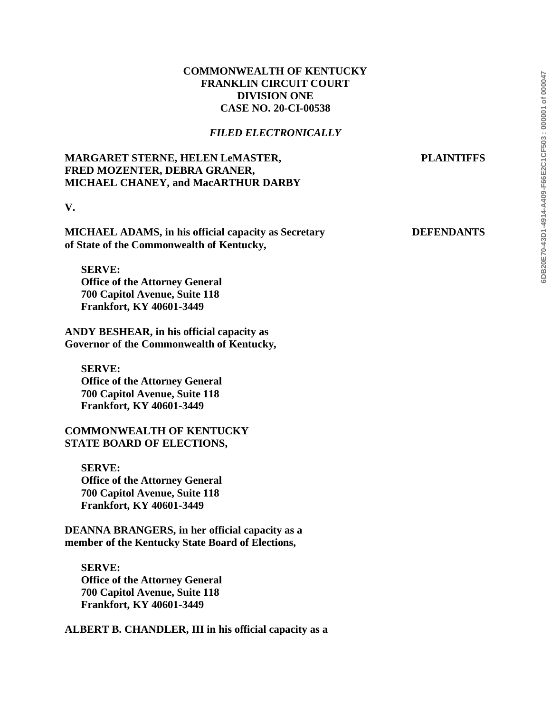# 5DB20E70-43D1-4914-A409-F66E2C1CF503:000001 of 000047 **6DB20E70-43D1-4914-A409-F66E2C1CF503 : 000001 of 000047**

# **COMMONWEALTH OF KENTUCKY FRANKLIN CIRCUIT COURT DIVISION ONE CASE NO. 20-CI-00538**

## *FILED ELECTRONICALLY*

# **MARGARET STERNE, HELEN LeMASTER, PLAINTIFFS FRED MOZENTER, DEBRA GRANER, MICHAEL CHANEY, and MacARTHUR DARBY**

**V.**

**MICHAEL ADAMS, in his official capacity as Secretary DEFENDANTS of State of the Commonwealth of Kentucky,**

**SERVE: Office of the Attorney General 700 Capitol Avenue, Suite 118 Frankfort, KY 40601-3449**

**ANDY BESHEAR, in his official capacity as Governor of the Commonwealth of Kentucky,**

**SERVE: Office of the Attorney General 700 Capitol Avenue, Suite 118 Frankfort, KY 40601-3449**

## **COMMONWEALTH OF KENTUCKY STATE BOARD OF ELECTIONS,**

**SERVE: Office of the Attorney General 700 Capitol Avenue, Suite 118 Frankfort, KY 40601-3449**

**DEANNA BRANGERS, in her official capacity as a member of the Kentucky State Board of Elections,**

**SERVE: Office of the Attorney General 700 Capitol Avenue, Suite 118 Frankfort, KY 40601-3449**

**ALBERT B. CHANDLER, III in his official capacity as a**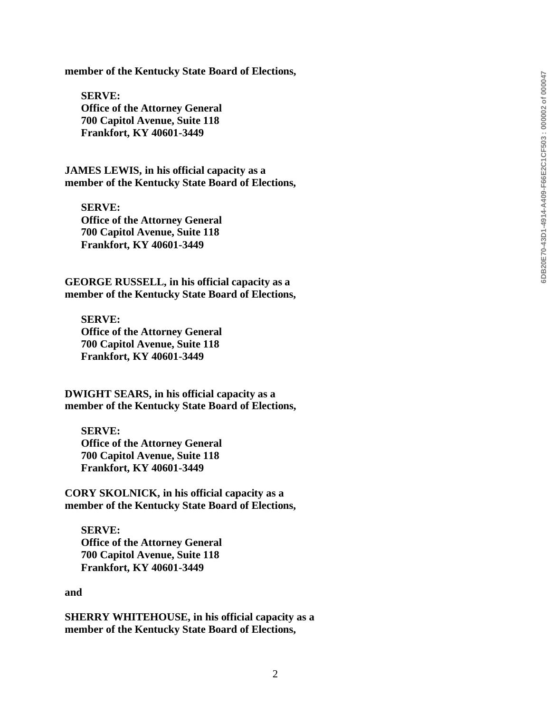**member of the Kentucky State Board of Elections,**

**SERVE: Office of the Attorney General 700 Capitol Avenue, Suite 118 Frankfort, KY 40601 -3449**

**JAMES LEWIS, in his official capacity as a member of the Kentucky State Board of Elections,**

**SERVE: Office of the Attorney General 700 Capitol Avenue, Suite 118 Frankfort, KY 40601 -3449**

**GEORGE RUSSELL, in his official capacity as a member of the Kentucky State Board of Elections,**

**SERVE: Office of the Attorney General 700 Capitol Avenue, Suite 118 Frankfort, KY 40601 -3449**

**DWIGHT SEARS, in his official capacity as a member of the Kentucky State Board of Elections,**

**SERVE: Office of the Attorney General 700 Capitol Avenue, Suite 118 Frankfort, KY 40601 -3449**

**CORY SKOLNICK, in his official capacity as a member of the Kentucky State Board of Elections,**

**SERVE: Office of the Attorney General 700 Capitol Avenue, Suite 118 Frankfort, KY 40601 -3449**

**and** 

**SHERRY WHITEHOUSE, in his official capacity as a member of the Kentucky State Board of Elections,**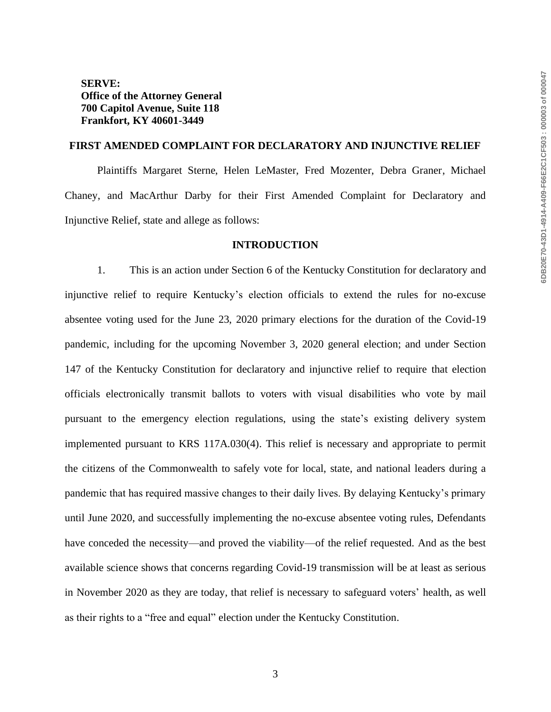## **SERVE: Office of the Attorney General 700 Capitol Avenue, Suite 118 Frankfort, KY 40601-3449**

## **FIRST AMENDED COMPLAINT FOR DECLARATORY AND INJUNCTIVE RELIEF**

Plaintiffs Margaret Sterne, Helen LeMaster, Fred Mozenter, Debra Graner, Michael Chaney, and MacArthur Darby for their First Amended Complaint for Declaratory and Injunctive Relief, state and allege as follows:

#### **INTRODUCTION**

1. This is an action under Section 6 of the Kentucky Constitution for declaratory and injunctive relief to require Kentucky's election officials to extend the rules for no-excuse absentee voting used for the June 23, 2020 primary elections for the duration of the Covid-19 pandemic, including for the upcoming November 3, 2020 general election; and under Section 147 of the Kentucky Constitution for declaratory and injunctive relief to require that election officials electronically transmit ballots to voters with visual disabilities who vote by mail pursuant to the emergency election regulations, using the state's existing delivery system implemented pursuant to KRS 117A.030(4). This relief is necessary and appropriate to permit the citizens of the Commonwealth to safely vote for local, state, and national leaders during a pandemic that has required massive changes to their daily lives. By delaying Kentucky's primary until June 2020, and successfully implementing the no-excuse absentee voting rules, Defendants have conceded the necessity—and proved the viability—of the relief requested. And as the best available science shows that concerns regarding Covid-19 transmission will be at least as serious in November 2020 as they are today, that relief is necessary to safeguard voters' health, as well as their rights to a "free and equal" election under the Kentucky Constitution.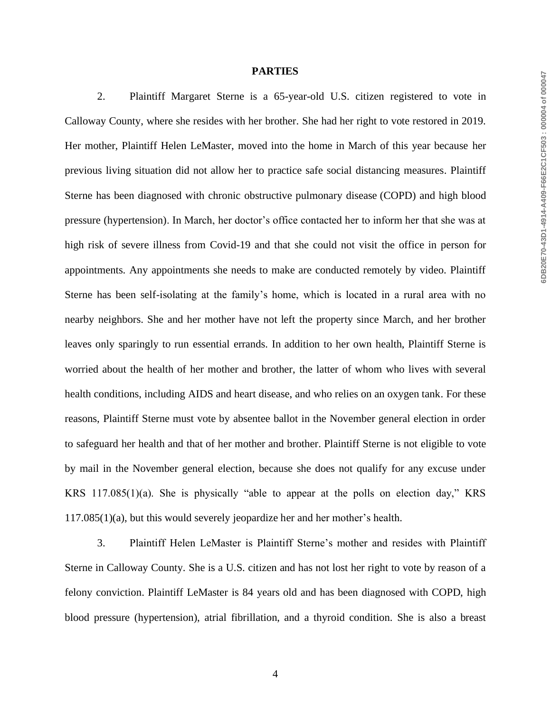#### **PARTIES**

2. Plaintiff Margaret Sterne is a 65-year-old U.S. citizen registered to vote in Calloway County, where she resides with her brother. She had her right to vote restored in 2019. Her mother, Plaintiff Helen LeMaster, moved into the home in March of this year because her previous living situation did not allow her to practice safe social distancing measures. Plaintiff Sterne has been diagnosed with chronic obstructive pulmonary disease (COPD) and high blood pressure (hypertension). In March, her doctor's office contacted her to inform her that she was at high risk of severe illness from Covid-19 and that she could not visit the office in person for appointments. Any appointments she needs to make are conducted remotely by video. Plaintiff Sterne has been self-isolating at the family's home, which is located in a rural area with no nearby neighbors. She and her mother have not left the property since March, and her brother leaves only sparingly to run essential errands. In addition to her own health, Plaintiff Sterne is worried about the health of her mother and brother, the latter of whom who lives with several health conditions, including AIDS and heart disease, and who relies on an oxygen tank. For these reasons, Plaintiff Sterne must vote by absentee ballot in the November general election in order to safeguard her health and that of her mother and brother. Plaintiff Sterne is not eligible to vote by mail in the November general election, because she does not qualify for any excuse under KRS 117.085(1)(a). She is physically "able to appear at the polls on election day," KRS 117.085(1)(a), but this would severely jeopardize her and her mother's health.

3. Plaintiff Helen LeMaster is Plaintiff Sterne's mother and resides with Plaintiff Sterne in Calloway County. She is a U.S. citizen and has not lost her right to vote by reason of a felony conviction. Plaintiff LeMaster is 84 years old and has been diagnosed with COPD, high blood pressure (hypertension), atrial fibrillation, and a thyroid condition. She is also a breast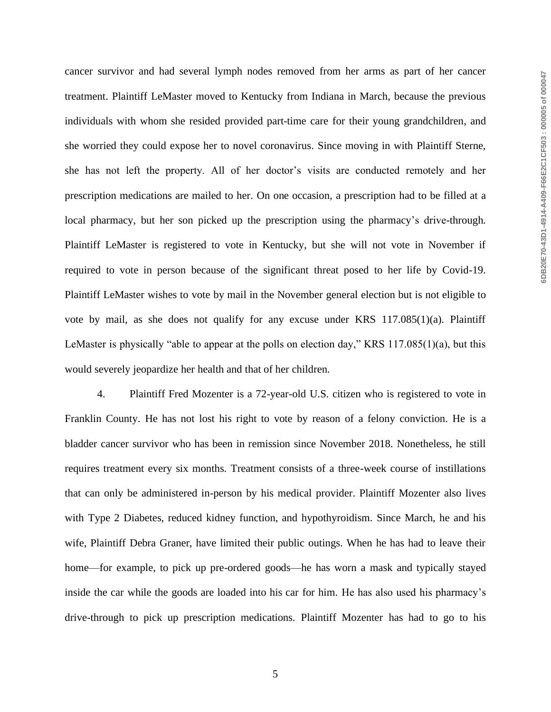cancer survivor and had several lymph nodes removed from her arms as part of her cancer treatment. Plaintiff LeMaster moved to Kentucky from Indiana in March, because the previous individuals with whom she resided provided part-time care for their young grandchildren, and she worried they could expose her to novel coronavirus. Since moving in with Plaintiff Sterne, she has not left the property. All of her doctor's visits are conducted remotely and her prescription medications are mailed to her. On one occasion, a prescription had to be filled at a local pharmacy, but her son picked up the prescription using the pharmacy's drive-through. Plaintiff LeMaster is registered to vote in Kentucky, but she will not vote in November if required to vote in person because of the significant threat posed to her life by Covid-19. Plaintiff LeMaster wishes to vote by mail in the November general election but is not eligible to vote by mail, as she does not qualify for any excuse under KRS 117.085(1)(a). Plaintiff LeMaster is physically "able to appear at the polls on election day," KRS 117.085(1)(a), but this would severely jeopardize her health and that of her children.

4. Plaintiff Fred Mozenter is a 72-year-old U.S. citizen who is registered to vote in Franklin County. He has not lost his right to vote by reason of a felony conviction. He is a bladder cancer survivor who has been in remission since November 2018. Nonetheless, he still requires treatment every six months. Treatment consists of a three-week course of instillations that can only be administered in-person by his medical provider. Plaintiff Mozenter also lives with Type 2 Diabetes, reduced kidney function, and hypothyroidism. Since March, he and his wife, Plaintiff Debra Graner, have limited their public outings. When he has had to leave their home—for example, to pick up pre-ordered goods—he has worn a mask and typically stayed inside the car while the goods are loaded into his car for him. He has also used his pharmacy's drive-through to pick up prescription medications. Plaintiff Mozenter has had to go to his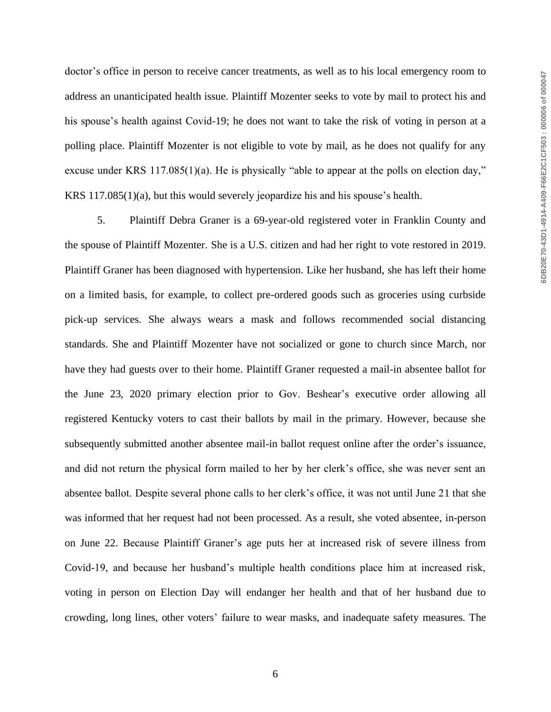doctor's office in person to receive cancer treatments, as well as to his local emergency room to address an unanticipated health issue. Plaintiff Mozenter seeks to vote by mail to protect his and his spouse's health against Covid-19; he does not want to take the risk of voting in person at a polling place. Plaintiff Mozenter is not eligible to vote by mail, as he does not qualify for any excuse under KRS 117.085(1)(a). He is physically "able to appear at the polls on election day," KRS 117.085(1)(a), but this would severely jeopardize his and his spouse's health.

5. Plaintiff Debra Graner is a 69-year-old registered voter in Franklin County and the spouse of Plaintiff Mozenter. She is a U.S. citizen and had her right to vote restored in 2019. Plaintiff Graner has been diagnosed with hypertension. Like her husband, she has left their home on a limited basis, for example, to collect pre-ordered goods such as groceries using curbside pick-up services. She always wears a mask and follows recommended social distancing standards. She and Plaintiff Mozenter have not socialized or gone to church since March, nor have they had guests over to their home. Plaintiff Graner requested a mail-in absentee ballot for the June 23, 2020 primary election prior to Gov. Beshear's executive order allowing all registered Kentucky voters to cast their ballots by mail in the primary. However, because she subsequently submitted another absentee mail-in ballot request online after the order's issuance, and did not return the physical form mailed to her by her clerk's office, she was never sent an absentee ballot. Despite several phone calls to her clerk's office, it was not until June 21 that she was informed that her request had not been processed. As a result, she voted absentee, in-person on June 22. Because Plaintiff Graner's age puts her at increased risk of severe illness from Covid-19, and because her husband's multiple health conditions place him at increased risk, voting in person on Election Day will endanger her health and that of her husband due to crowding, long lines, other voters' failure to wear masks, and inadequate safety measures. The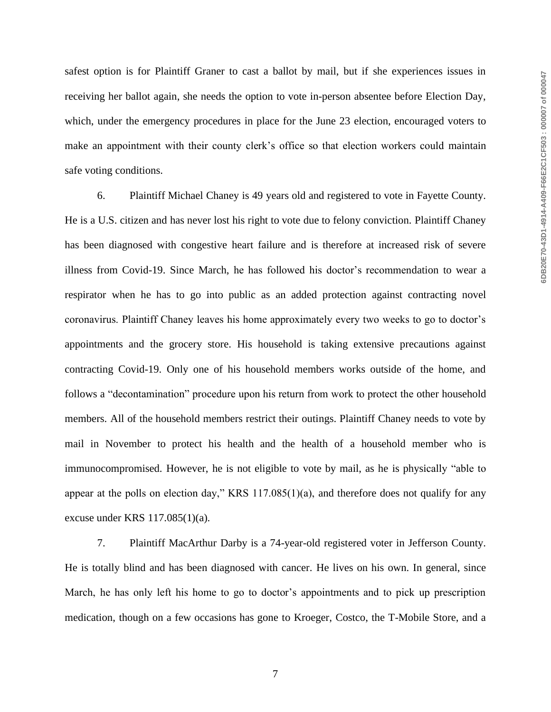safest option is for Plaintiff Graner to cast a ballot by mail, but if she experiences issues in receiving her ballot again, she needs the option to vote in-person absentee before Election Day, which, under the emergency procedures in place for the June 23 election, encouraged voters to make an appointment with their county clerk's office so that election workers could maintain safe voting conditions.

6. Plaintiff Michael Chaney is 49 years old and registered to vote in Fayette County. He is a U.S. citizen and has never lost his right to vote due to felony conviction. Plaintiff Chaney has been diagnosed with congestive heart failure and is therefore at increased risk of severe illness from Covid-19. Since March, he has followed his doctor's recommendation to wear a respirator when he has to go into public as an added protection against contracting novel coronavirus. Plaintiff Chaney leaves his home approximately every two weeks to go to doctor's appointments and the grocery store. His household is taking extensive precautions against contracting Covid-19. Only one of his household members works outside of the home, and follows a "decontamination" procedure upon his return from work to protect the other household members. All of the household members restrict their outings. Plaintiff Chaney needs to vote by mail in November to protect his health and the health of a household member who is immunocompromised. However, he is not eligible to vote by mail, as he is physically "able to appear at the polls on election day," KRS 117.085(1)(a), and therefore does not qualify for any excuse under KRS 117.085(1)(a).

7. Plaintiff MacArthur Darby is a 74-year-old registered voter in Jefferson County. He is totally blind and has been diagnosed with cancer. He lives on his own. In general, since March, he has only left his home to go to doctor's appointments and to pick up prescription medication, though on a few occasions has gone to Kroeger, Costco, the T-Mobile Store, and a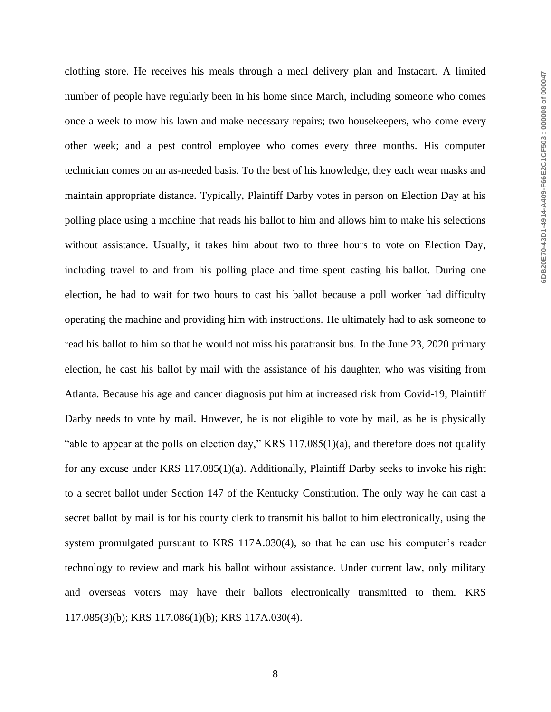clothing store. He receives his meals through a meal delivery plan and Instacart. A limited number of people have regularly been in his home since March, including someone who comes once a week to mow his lawn and make necessary repairs; two housekeepers, who come every other week; and a pest control employee who comes every three months. His computer technician comes on an as-needed basis. To the best of his knowledge, they each wear masks and maintain appropriate distance. Typically, Plaintiff Darby votes in person on Election Day at his polling place using a machine that reads his ballot to him and allows him to make his selections without assistance. Usually, it takes him about two to three hours to vote on Election Day, including travel to and from his polling place and time spent casting his ballot. During one election, he had to wait for two hours to cast his ballot because a poll worker had difficulty operating the machine and providing him with instructions. He ultimately had to ask someone to read his ballot to him so that he would not miss his paratransit bus. In the June 23, 2020 primary election, he cast his ballot by mail with the assistance of his daughter, who was visiting from Atlanta. Because his age and cancer diagnosis put him at increased risk from Covid-19, Plaintiff Darby needs to vote by mail. However, he is not eligible to vote by mail, as he is physically "able to appear at the polls on election day," KRS 117.085(1)(a), and therefore does not qualify for any excuse under KRS 117.085(1)(a). Additionally, Plaintiff Darby seeks to invoke his right to a secret ballot under Section 147 of the Kentucky Constitution. The only way he can cast a secret ballot by mail is for his county clerk to transmit his ballot to him electronically, using the system promulgated pursuant to KRS 117A.030(4), so that he can use his computer's reader technology to review and mark his ballot without assistance. Under current law, only military and overseas voters may have their ballots electronically transmitted to them. KRS 117.085(3)(b); KRS 117.086(1)(b); KRS 117A.030(4).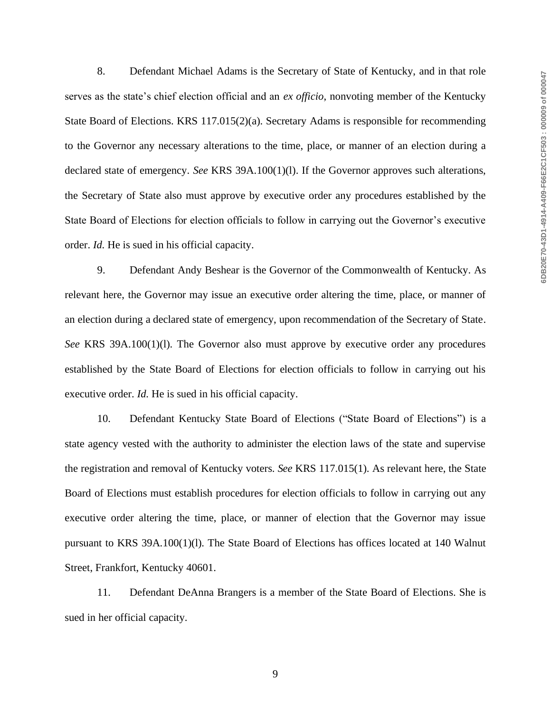8. Defendant Michael Adams is the Secretary of State of Kentucky, and in that role serves as the state's chief election official and an *ex officio*, nonvoting member of the Kentucky State Board of Elections. KRS 117.015(2)(a). Secretary Adams is responsible for recommending to the Governor any necessary alterations to the time, place, or manner of an election during a declared state of emergency. *See* KRS 39A.100(1)(l). If the Governor approves such alterations, the Secretary of State also must approve by executive order any procedures established by the State Board of Elections for election officials to follow in carrying out the Governor's executive order. *Id.* He is sued in his official capacity.

9. Defendant Andy Beshear is the Governor of the Commonwealth of Kentucky. As relevant here, the Governor may issue an executive order altering the time, place, or manner of an election during a declared state of emergency, upon recommendation of the Secretary of State. *See* KRS 39A.100(1)(l). The Governor also must approve by executive order any procedures established by the State Board of Elections for election officials to follow in carrying out his executive order. *Id*. He is sued in his official capacity.

10. Defendant Kentucky State Board of Elections ("State Board of Elections") is a state agency vested with the authority to administer the election laws of the state and supervise the registration and removal of Kentucky voters. *See* KRS 117.015(1). As relevant here, the State Board of Elections must establish procedures for election officials to follow in carrying out any executive order altering the time, place, or manner of election that the Governor may issue pursuant to KRS 39A.100(1)(l). The State Board of Elections has offices located at 140 Walnut Street, Frankfort, Kentucky 40601.

11. Defendant DeAnna Brangers is a member of the State Board of Elections. She is sued in her official capacity.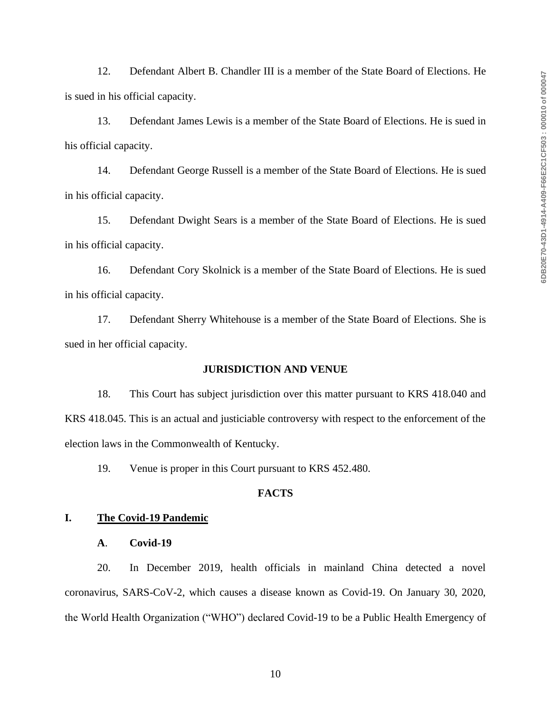12. Defendant Albert B. Chandler III is a member of the State Board of Elections. He is sued in his official capacity.

13. Defendant James Lewis is a member of the State Board of Elections. He is sued in his official capacity.

14. Defendant George Russell is a member of the State Board of Elections. He is sued in his official capacity.

15. Defendant Dwight Sears is a member of the State Board of Elections. He is sued in his official capacity.

16. Defendant Cory Skolnick is a member of the State Board of Elections. He is sued in his official capacity.

17. Defendant Sherry Whitehouse is a member of the State Board of Elections. She is sued in her official capacity.

#### **JURISDICTION AND VENUE**

18. This Court has subject jurisdiction over this matter pursuant to KRS 418.040 and KRS 418.045. This is an actual and justiciable controversy with respect to the enforcement of the election laws in the Commonwealth of Kentucky.

19. Venue is proper in this Court pursuant to KRS 452.480.

## **FACTS**

#### **I. The Covid-19 Pandemic**

**A**. **Covid-19**

20. In December 2019, health officials in mainland China detected a novel coronavirus, SARS-CoV-2, which causes a disease known as Covid-19. On January 30, 2020, the World Health Organization ("WHO") declared Covid-19 to be a Public Health Emergency of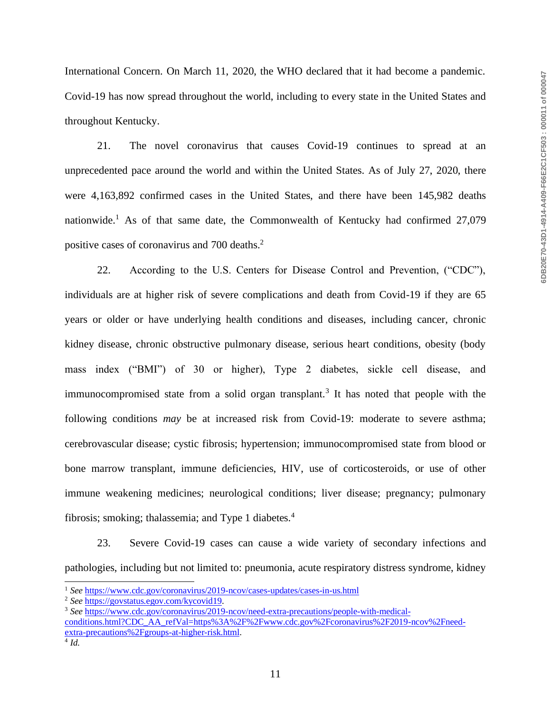International Concern. On March 11, 2020, the WHO declared that it had become a pandemic. Covid-19 has now spread throughout the world, including to every state in the United States and throughout Kentucky.

21. The novel coronavirus that causes Covid-19 continues to spread at an unprecedented pace around the world and within the United States. As of July 27, 2020, there were 4,163,892 confirmed cases in the United States, and there have been 145,982 deaths nationwide.<sup>1</sup> As of that same date, the Commonwealth of Kentucky had confirmed  $27,079$ positive cases of coronavirus and 700 deaths. 2

22. According to the U.S. Centers for Disease Control and Prevention, ("CDC"), individuals are at higher risk of severe complications and death from Covid-19 if they are 65 years or older or have underlying health conditions and diseases, including cancer, chronic kidney disease, chronic obstructive pulmonary disease, serious heart conditions, obesity (body mass index ("BMI") of 30 or higher), Type 2 diabetes, sickle cell disease, and immunocompromised state from a solid organ transplant.<sup>3</sup> It has noted that people with the following conditions *may* be at increased risk from Covid-19: moderate to severe asthma; cerebrovascular disease; cystic fibrosis; hypertension; immunocompromised state from blood or bone marrow transplant, immune deficiencies, HIV, use of corticosteroids, or use of other immune weakening medicines; neurological conditions; liver disease; pregnancy; pulmonary fibrosis; smoking; thalassemia; and Type 1 diabetes. $4$ 

23. Severe Covid-19 cases can cause a wide variety of secondary infections and pathologies, including but not limited to: pneumonia, acute respiratory distress syndrome, kidney

<sup>&</sup>lt;sup>1</sup> See <https://www.cdc.gov/coronavirus/2019-ncov/cases-updates/cases-in-us.html>

<sup>2</sup> *See* [https://govstatus.egov.com/kycovid19.](https://govstatus.egov.com/kycovid19)

<sup>3</sup> *See* [https://www.cdc.gov/coronavirus/2019-ncov/need-extra-precautions/people-with-medical](https://www.cdc.gov/coronavirus/2019-ncov/need-extra-precautions/people-with-medical-conditions.html?CDC_AA_refVal=https%3A%2F%2Fwww.cdc.gov%2Fcoronavirus%2F2019-ncov%2Fneed-extra-precautions%2Fgroups-at-higher-risk.html)[conditions.html?CDC\\_AA\\_refVal=https%3A%2F%2Fwww.cdc.gov%2Fcoronavirus%2F2019-ncov%2Fneed](https://www.cdc.gov/coronavirus/2019-ncov/need-extra-precautions/people-with-medical-conditions.html?CDC_AA_refVal=https%3A%2F%2Fwww.cdc.gov%2Fcoronavirus%2F2019-ncov%2Fneed-extra-precautions%2Fgroups-at-higher-risk.html)[extra-precautions%2Fgroups-at-higher-risk.html.](https://www.cdc.gov/coronavirus/2019-ncov/need-extra-precautions/people-with-medical-conditions.html?CDC_AA_refVal=https%3A%2F%2Fwww.cdc.gov%2Fcoronavirus%2F2019-ncov%2Fneed-extra-precautions%2Fgroups-at-higher-risk.html) 4 *Id.*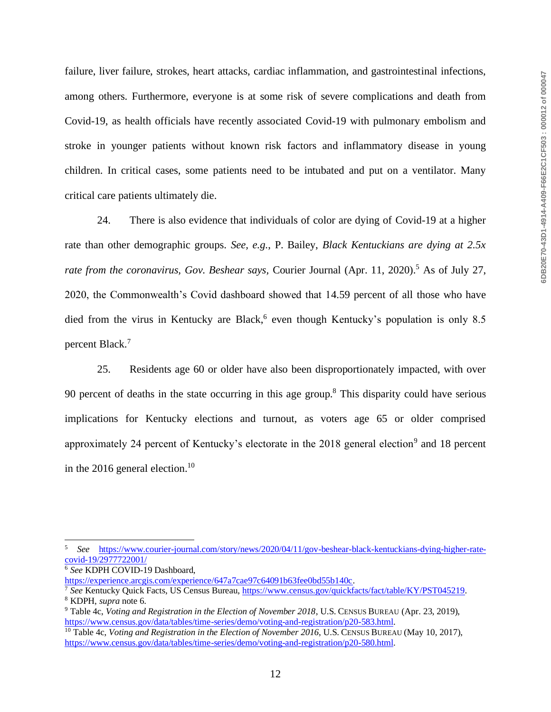failure, liver failure, strokes, heart attacks, cardiac inflammation, and gastrointestinal infections, among others. Furthermore, everyone is at some risk of severe complications and death from Covid-19, as health officials have recently associated Covid-19 with pulmonary embolism and stroke in younger patients without known risk factors and inflammatory disease in young children. In critical cases, some patients need to be intubated and put on a ventilator. Many critical care patients ultimately die.

24. There is also evidence that individuals of color are dying of Covid-19 at a higher rate than other demographic groups. *See, e.g.*, P. Bailey, *Black Kentuckians are dying at 2.5x rate from the coronavirus, Gov. Beshear says, Courier Journal (Apr. 11, 2020).*<sup>5</sup> As of July 27, 2020, the Commonwealth's Covid dashboard showed that 14.59 percent of all those who have died from the virus in Kentucky are Black,<sup>6</sup> even though Kentucky's population is only 8.5 percent Black.<sup>7</sup>

25. Residents age 60 or older have also been disproportionately impacted, with over 90 percent of deaths in the state occurring in this age group.<sup>8</sup> This disparity could have serious implications for Kentucky elections and turnout, as voters age 65 or older comprised approximately 24 percent of Kentucky's electorate in the  $2018$  general election<sup>9</sup> and 18 percent in the 2016 general election.<sup>10</sup>

<sup>5</sup> *See* [https://www.courier-journal.com/story/news/2020/04/11/gov-beshear-black-kentuckians-dying-higher-rate](https://www.courier-journal.com/story/news/2020/04/11/gov-beshear-black-kentuckians-dying-higher-rate-covid-19/2977722001/)[covid-19/2977722001/](https://www.courier-journal.com/story/news/2020/04/11/gov-beshear-black-kentuckians-dying-higher-rate-covid-19/2977722001/)

<sup>6</sup> *See* KDPH COVID-19 Dashboard,

[https://experience.arcgis.com/experience/647a7cae97c64091b63fee0bd55b140c.](https://experience.arcgis.com/experience/647a7cae97c64091b63fee0bd55b140c)

<sup>7</sup> *See* Kentucky Quick Facts, US Census Bureau, [https://www.census.gov/quickfacts/fact/table/KY/PST045219.](https://www.census.gov/quickfacts/fact/table/KY/PST045219) <sup>8</sup> KDPH, *supra* note 6.

<sup>9</sup> Table 4c, *Voting and Registration in the Election of November 2018*, U.S. CENSUS BUREAU (Apr. 23, 2019), [https://www.census.gov/data/tables/time-series/demo/voting-and-registration/p20-583.html.](https://www.census.gov/data/tables/time-series/demo/voting-and-registration/p20-583.html)

<sup>&</sup>lt;sup>10</sup> Table 4c, *Voting and Registration in the Election of November 2016*, U.S. CENSUS BUREAU (May 10, 2017), [https://www.census.gov/data/tables/time-series/demo/voting-and-registration/p20-580.html.](https://www.census.gov/data/tables/time-series/demo/voting-and-registration/p20-580.html)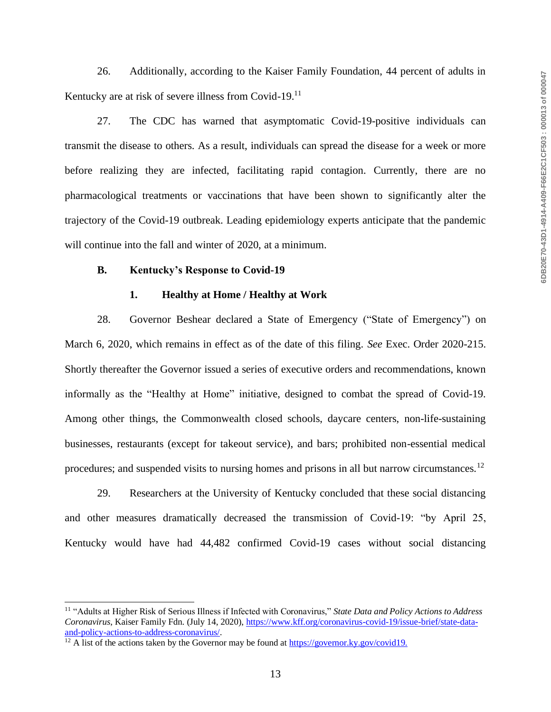26. Additionally, according to the Kaiser Family Foundation, 44 percent of adults in Kentucky are at risk of severe illness from Covid-19.<sup>11</sup>

27. The CDC has warned that asymptomatic Covid-19-positive individuals can transmit the disease to others. As a result, individuals can spread the disease for a week or more before realizing they are infected, facilitating rapid contagion. Currently, there are no pharmacological treatments or vaccinations that have been shown to significantly alter the trajectory of the Covid-19 outbreak. Leading epidemiology experts anticipate that the pandemic will continue into the fall and winter of 2020, at a minimum.

#### **B. Kentucky's Response to Covid-19**

#### **1. Healthy at Home / Healthy at Work**

28. Governor Beshear declared a State of Emergency ("State of Emergency") on March 6, 2020, which remains in effect as of the date of this filing. *See* Exec. Order 2020-215. Shortly thereafter the Governor issued a series of executive orders and recommendations, known informally as the "Healthy at Home" initiative, designed to combat the spread of Covid-19. Among other things, the Commonwealth closed schools, daycare centers, non-life-sustaining businesses, restaurants (except for takeout service), and bars; prohibited non-essential medical procedures; and suspended visits to nursing homes and prisons in all but narrow circumstances.<sup>12</sup>

29. Researchers at the University of Kentucky concluded that these social distancing and other measures dramatically decreased the transmission of Covid-19: "by April 25, Kentucky would have had 44,482 confirmed Covid-19 cases without social distancing

<sup>11</sup> "Adults at Higher Risk of Serious Illness if Infected with Coronavirus," *State Data and Policy Actions to Address Coronavirus*, Kaiser Family Fdn. (July 14, 2020), [https://www.kff.org/coronavirus-covid-19/issue-brief/state-data](https://www.kff.org/coronavirus-covid-19/issue-brief/state-data-and-policy-actions-to-address-coronavirus/)[and-policy-actions-to-address-coronavirus/.](https://www.kff.org/coronavirus-covid-19/issue-brief/state-data-and-policy-actions-to-address-coronavirus/)

 $12$  A list of the actions taken by the Governor may be found at<https://governor.ky.gov/covid19.>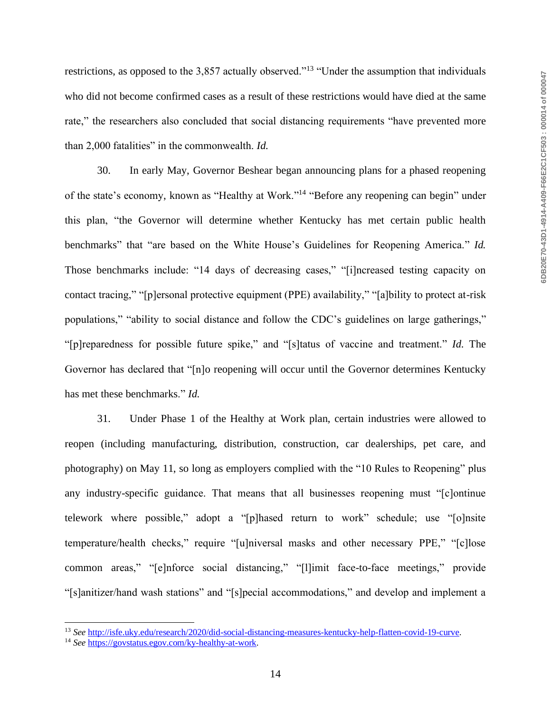restrictions, as opposed to the 3,857 actually observed."<sup>13</sup> "Under the assumption that individuals who did not become confirmed cases as a result of these restrictions would have died at the same rate," the researchers also concluded that social distancing requirements "have prevented more than 2,000 fatalities" in the commonwealth. *Id.*

30. In early May, Governor Beshear began announcing plans for a phased reopening of the state's economy, known as "Healthy at Work."<sup>14</sup> "Before any reopening can begin" under this plan, "the Governor will determine whether Kentucky has met certain public health benchmarks" that "are based on the White House's Guidelines for Reopening America." *Id.* Those benchmarks include: "14 days of decreasing cases," "[i]ncreased testing capacity on contact tracing," "[p]ersonal protective equipment (PPE) availability," "[a]bility to protect at-risk populations," "ability to social distance and follow the CDC's guidelines on large gatherings," "[p]reparedness for possible future spike," and "[s]tatus of vaccine and treatment." *Id.* The Governor has declared that "[n]o reopening will occur until the Governor determines Kentucky has met these benchmarks." *Id.*

31. Under Phase 1 of the Healthy at Work plan, certain industries were allowed to reopen (including manufacturing, distribution, construction, car dealerships, pet care, and photography) on May 11, so long as employers complied with the "10 Rules to Reopening" plus any industry-specific guidance. That means that all businesses reopening must "[c]ontinue telework where possible," adopt a "[p]hased return to work" schedule; use "[o]nsite temperature/health checks," require "[u]niversal masks and other necessary PPE," "[c]lose common areas," "[e]nforce social distancing," "[l]imit face-to-face meetings," provide "[s]anitizer/hand wash stations" and "[s]pecial accommodations," and develop and implement a

<sup>13</sup> *See* [http://isfe.uky.edu/research/2020/did-social-distancing-measures-kentucky-help-flatten-covid-19-curve.](http://isfe.uky.edu/research/2020/did-social-distancing-measures-kentucky-help-flatten-covid-19-curve)

<sup>14</sup> *See* [https://govstatus.egov.com/ky-healthy-at-work.](https://govstatus.egov.com/ky-healthy-at-work)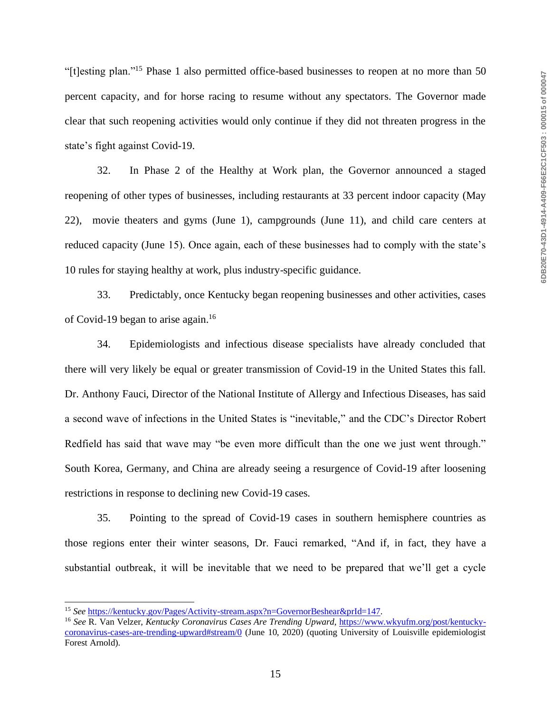"[t]esting plan."<sup>15</sup> Phase 1 also permitted office-based businesses to reopen at no more than 50 percent capacity, and for horse racing to resume without any spectators. The Governor made clear that such reopening activities would only continue if they did not threaten progress in the state's fight against Covid-19.

32. In Phase 2 of the Healthy at Work plan, the Governor announced a staged reopening of other types of businesses, including restaurants at 33 percent indoor capacity (May 22), movie theaters and gyms (June 1), campgrounds (June 11), and child care centers at reduced capacity (June 15). Once again, each of these businesses had to comply with the state's 10 rules for staying healthy at work, plus industry-specific guidance.

33. Predictably, once Kentucky began reopening businesses and other activities, cases of Covid-19 began to arise again.<sup>16</sup>

34. Epidemiologists and infectious disease specialists have already concluded that there will very likely be equal or greater transmission of Covid-19 in the United States this fall. Dr. Anthony Fauci, Director of the National Institute of Allergy and Infectious Diseases, has said a second wave of infections in the United States is "inevitable," and the CDC's Director Robert Redfield has said that wave may "be even more difficult than the one we just went through." South Korea, Germany, and China are already seeing a resurgence of Covid-19 after loosening restrictions in response to declining new Covid-19 cases.

35. Pointing to the spread of Covid-19 cases in southern hemisphere countries as those regions enter their winter seasons, Dr. Fauci remarked, "And if, in fact, they have a substantial outbreak, it will be inevitable that we need to be prepared that we'll get a cycle

<sup>15</sup> *See* [https://kentucky.gov/Pages/Activity-stream.aspx?n=GovernorBeshear&prId=147.](https://kentucky.gov/Pages/Activity-stream.aspx?n=GovernorBeshear&prId=147)

<sup>16</sup> *See* R. Van Velzer, *Kentucky Coronavirus Cases Are Trending Upward*[, https://www.wkyufm.org/post/kentucky](https://www.wkyufm.org/post/kentucky-coronavirus-cases-are-trending-upward#stream/0)[coronavirus-cases-are-trending-upward#stream/0](https://www.wkyufm.org/post/kentucky-coronavirus-cases-are-trending-upward#stream/0) (June 10, 2020) (quoting University of Louisville epidemiologist Forest Arnold).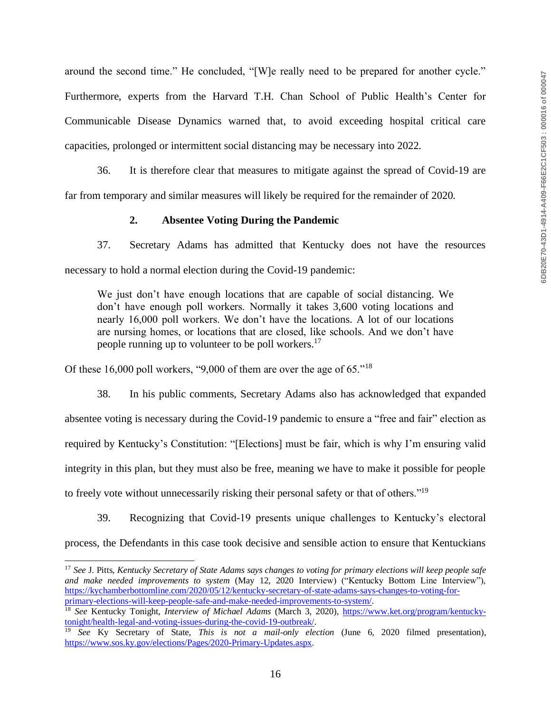around the second time." He concluded, "[W]e really need to be prepared for another cycle." Furthermore, experts from the Harvard T.H. Chan School of Public Health's Center for Communicable Disease Dynamics warned that, to avoid exceeding hospital critical care capacities, prolonged or intermittent social distancing may be necessary into 2022.

36. It is therefore clear that measures to mitigate against the spread of Covid-19 are far from temporary and similar measures will likely be required for the remainder of 2020.

# **2. Absentee Voting During the Pandemic**

37. Secretary Adams has admitted that Kentucky does not have the resources necessary to hold a normal election during the Covid-19 pandemic:

We just don't have enough locations that are capable of social distancing. We don't have enough poll workers. Normally it takes 3,600 voting locations and nearly 16,000 poll workers. We don't have the locations. A lot of our locations are nursing homes, or locations that are closed, like schools. And we don't have people running up to volunteer to be poll workers.<sup>17</sup>

Of these 16,000 poll workers, "9,000 of them are over the age of 65."<sup>18</sup>

38. In his public comments, Secretary Adams also has acknowledged that expanded absentee voting is necessary during the Covid-19 pandemic to ensure a "free and fair" election as required by Kentucky's Constitution: "[Elections] must be fair, which is why I'm ensuring valid integrity in this plan, but they must also be free, meaning we have to make it possible for people to freely vote without unnecessarily risking their personal safety or that of others."<sup>19</sup>

39. Recognizing that Covid-19 presents unique challenges to Kentucky's electoral process, the Defendants in this case took decisive and sensible action to ensure that Kentuckians

<sup>17</sup> *See* J. Pitts, *Kentucky Secretary of State Adams says changes to voting for primary elections will keep people safe and make needed improvements to system* (May 12, 2020 Interview) ("Kentucky Bottom Line Interview"), [https://kychamberbottomline.com/2020/05/12/kentucky-secretary-of-state-adams-says-changes-to-voting-for](https://kychamberbottomline.com/2020/05/12/kentucky-secretary-of-state-adams-says-changes-to-voting-for-primary-elections-will-keep-people-safe-and-make-needed-improvements-to-system/)[primary-elections-will-keep-people-safe-and-make-needed-improvements-to-system/.](https://kychamberbottomline.com/2020/05/12/kentucky-secretary-of-state-adams-says-changes-to-voting-for-primary-elections-will-keep-people-safe-and-make-needed-improvements-to-system/)

<sup>18</sup> *See* Kentucky Tonight, *Interview of Michael Adams* (March 3, 2020), [https://www.ket.org/program/kentucky](https://www.ket.org/program/kentucky-tonight/health-legal-and-voting-issues-during-the-covid-19-outbreak/)[tonight/health-legal-and-voting-issues-during-the-covid-19-outbreak/.](https://www.ket.org/program/kentucky-tonight/health-legal-and-voting-issues-during-the-covid-19-outbreak/)

<sup>19</sup> *See* Ky Secretary of State, *This is not a mail-only election* (June 6, 2020 filmed presentation), [https://www.sos.ky.gov/elections/Pages/2020-Primary-Updates.aspx.](https://www.sos.ky.gov/elections/Pages/2020-Primary-Updates.aspx)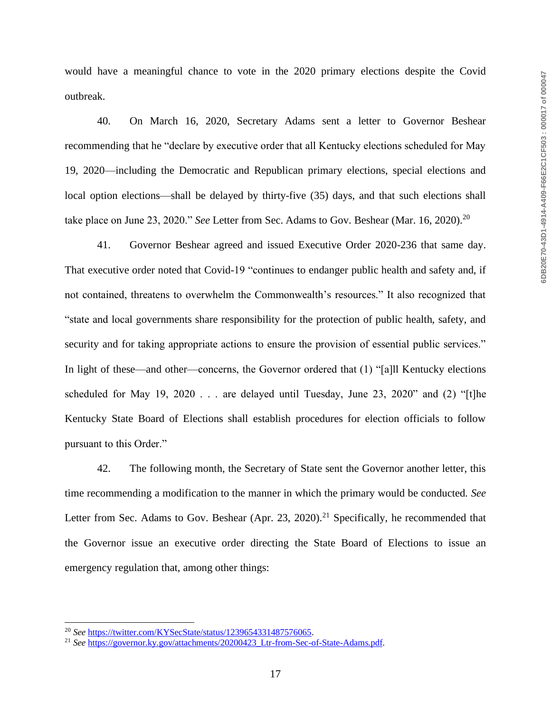would have a meaningful chance to vote in the 2020 primary elections despite the Covid outbreak.

40. On March 16, 2020, Secretary Adams sent a letter to Governor Beshear recommending that he "declare by executive order that all Kentucky elections scheduled for May 19, 2020—including the Democratic and Republican primary elections, special elections and local option elections—shall be delayed by thirty-five (35) days, and that such elections shall take place on June 23, 2020." *See* Letter from Sec. Adams to Gov. Beshear (Mar. 16, 2020).<sup>20</sup>

41. Governor Beshear agreed and issued Executive Order 2020-236 that same day. That executive order noted that Covid-19 "continues to endanger public health and safety and, if not contained, threatens to overwhelm the Commonwealth's resources." It also recognized that "state and local governments share responsibility for the protection of public health, safety, and security and for taking appropriate actions to ensure the provision of essential public services." In light of these—and other—concerns, the Governor ordered that (1) "[a]ll Kentucky elections scheduled for May 19, 2020 . . . are delayed until Tuesday, June 23, 2020" and (2) "[t]he Kentucky State Board of Elections shall establish procedures for election officials to follow pursuant to this Order."

42. The following month, the Secretary of State sent the Governor another letter, this time recommending a modification to the manner in which the primary would be conducted. *See* Letter from Sec. Adams to Gov. Beshear (Apr. 23, 2020).<sup>21</sup> Specifically, he recommended that the Governor issue an executive order directing the State Board of Elections to issue an emergency regulation that, among other things:

<sup>20</sup> *See* [https://twitter.com/KYSecState/status/1239654331487576065.](https://twitter.com/KYSecState/status/1239654331487576065)

<sup>&</sup>lt;sup>21</sup> *See* https://governor.ky.gov/attachments/20200423 Ltr-from-Sec-of-State-Adams.pdf.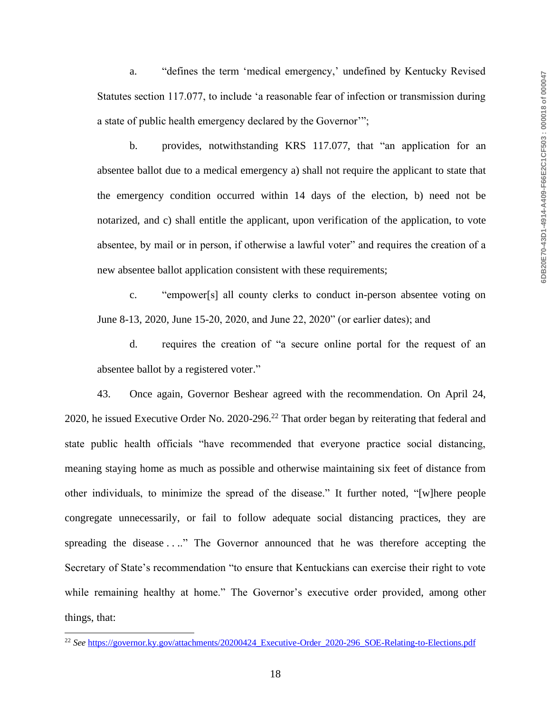a. "defines the term 'medical emergency,' undefined by Kentucky Revised Statutes section 117.077, to include 'a reasonable fear of infection or transmission during a state of public health emergency declared by the Governor'";

b. provides, notwithstanding KRS 117.077, that "an application for an absentee ballot due to a medical emergency a) shall not require the applicant to state that the emergency condition occurred within 14 days of the election, b) need not be notarized, and c) shall entitle the applicant, upon verification of the application, to vote absentee, by mail or in person, if otherwise a lawful voter" and requires the creation of a new absentee ballot application consistent with these requirements;

c. "empower[s] all county clerks to conduct in-person absentee voting on June 8-13, 2020, June 15-20, 2020, and June 22, 2020" (or earlier dates); and

d. requires the creation of "a secure online portal for the request of an absentee ballot by a registered voter."

43. Once again, Governor Beshear agreed with the recommendation. On April 24, 2020, he issued Executive Order No. 2020-296.<sup>22</sup> That order began by reiterating that federal and state public health officials "have recommended that everyone practice social distancing, meaning staying home as much as possible and otherwise maintaining six feet of distance from other individuals, to minimize the spread of the disease." It further noted, "[w]here people congregate unnecessarily, or fail to follow adequate social distancing practices, they are spreading the disease . . .." The Governor announced that he was therefore accepting the Secretary of State's recommendation "to ensure that Kentuckians can exercise their right to vote while remaining healthy at home." The Governor's executive order provided, among other things, that:

<sup>&</sup>lt;sup>22</sup> See [https://governor.ky.gov/attachments/20200424\\_Executive-Order\\_2020-296\\_SOE-Relating-to-Elections.pdf](https://governor.ky.gov/attachments/20200424_Executive-Order_2020-296_SOE-Relating-to-Elections.pdf)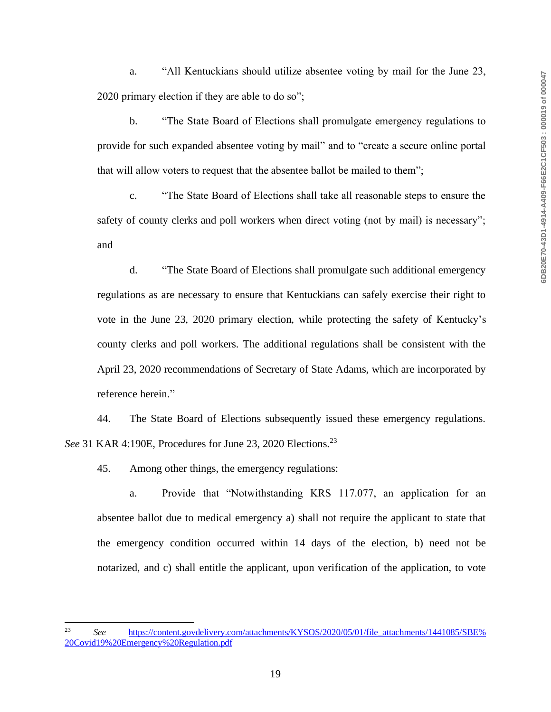a. "All Kentuckians should utilize absentee voting by mail for the June 23, 2020 primary election if they are able to do so";

b. "The State Board of Elections shall promulgate emergency regulations to provide for such expanded absentee voting by mail" and to "create a secure online portal that will allow voters to request that the absentee ballot be mailed to them";

c. "The State Board of Elections shall take all reasonable steps to ensure the safety of county clerks and poll workers when direct voting (not by mail) is necessary"; and

d. "The State Board of Elections shall promulgate such additional emergency regulations as are necessary to ensure that Kentuckians can safely exercise their right to vote in the June 23, 2020 primary election, while protecting the safety of Kentucky's county clerks and poll workers. The additional regulations shall be consistent with the April 23, 2020 recommendations of Secretary of State Adams, which are incorporated by reference herein."

44. The State Board of Elections subsequently issued these emergency regulations. *See* 31 KAR 4:190E, Procedures for June 23, 2020 Elections.<sup>23</sup>

45. Among other things, the emergency regulations:

a. Provide that "Notwithstanding KRS 117.077, an application for an absentee ballot due to medical emergency a) shall not require the applicant to state that the emergency condition occurred within 14 days of the election, b) need not be notarized, and c) shall entitle the applicant, upon verification of the application, to vote

<sup>&</sup>lt;sup>23</sup> See https://content.govdelivery.com/attachments/KYSOS/2020/05/01/file\_attachments/1441085/SBE% [20Covid19%20Emergency%20Regulation.pdf](https://content.govdelivery.com/attachments/KYSOS/2020/05/01/file_attachments/1441085/SBE%20Covid19%20Emergency%20Regulation.pdf)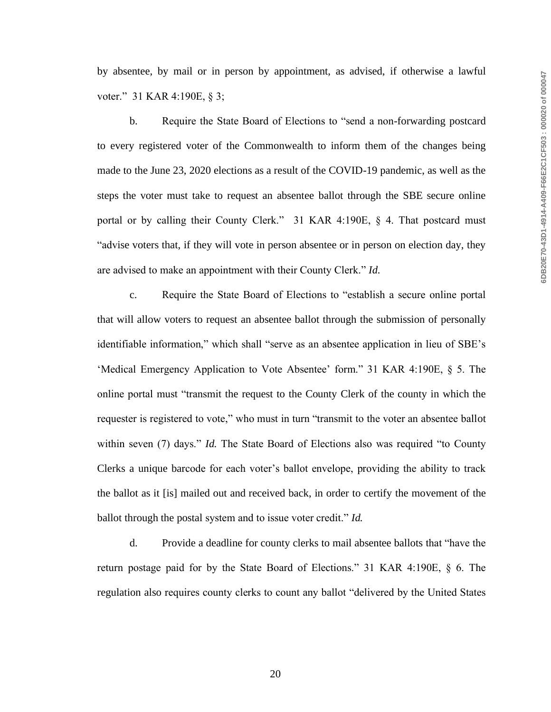by absentee, by mail or in person by appointment, as advised, if otherwise a lawful voter." 31 KAR 4:190E, § 3;

b. Require the State Board of Elections to "send a non-forwarding postcard to every registered voter of the Commonwealth to inform them of the changes being made to the June 23, 2020 elections as a result of the COVID-19 pandemic, as well as the steps the voter must take to request an absentee ballot through the SBE secure online portal or by calling their County Clerk." 31 KAR 4:190E, § 4. That postcard must "advise voters that, if they will vote in person absentee or in person on election day, they are advised to make an appointment with their County Clerk." *Id.*

c. Require the State Board of Elections to "establish a secure online portal that will allow voters to request an absentee ballot through the submission of personally identifiable information," which shall "serve as an absentee application in lieu of SBE's 'Medical Emergency Application to Vote Absentee' form." 31 KAR 4:190E, § 5. The online portal must "transmit the request to the County Clerk of the county in which the requester is registered to vote," who must in turn "transmit to the voter an absentee ballot within seven (7) days." *Id.* The State Board of Elections also was required "to County Clerks a unique barcode for each voter's ballot envelope, providing the ability to track the ballot as it [is] mailed out and received back, in order to certify the movement of the ballot through the postal system and to issue voter credit." *Id.*

d. Provide a deadline for county clerks to mail absentee ballots that "have the return postage paid for by the State Board of Elections." 31 KAR 4:190E, § 6. The regulation also requires county clerks to count any ballot "delivered by the United States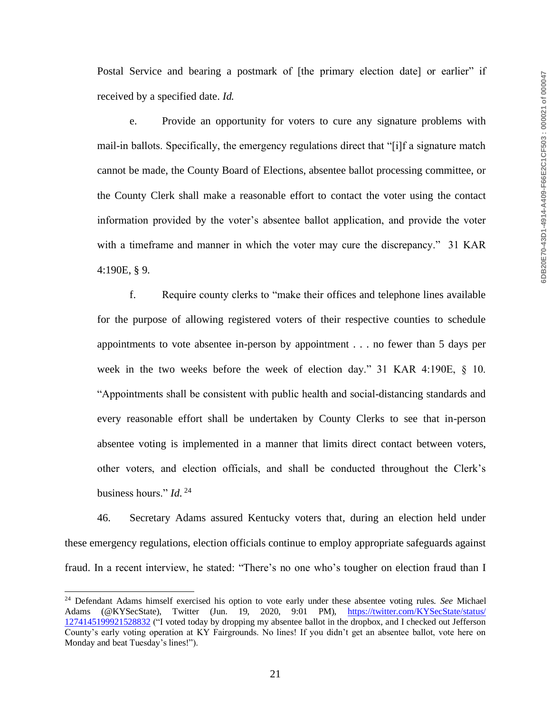Postal Service and bearing a postmark of [the primary election date] or earlier" if received by a specified date. *Id.*

e. Provide an opportunity for voters to cure any signature problems with mail-in ballots. Specifically, the emergency regulations direct that "[i]f a signature match cannot be made, the County Board of Elections, absentee ballot processing committee, or the County Clerk shall make a reasonable effort to contact the voter using the contact information provided by the voter's absentee ballot application, and provide the voter with a timeframe and manner in which the voter may cure the discrepancy." 31 KAR 4:190E, § 9.

f. Require county clerks to "make their offices and telephone lines available for the purpose of allowing registered voters of their respective counties to schedule appointments to vote absentee in-person by appointment . . . no fewer than 5 days per week in the two weeks before the week of election day." 31 KAR 4:190E, § 10. "Appointments shall be consistent with public health and social-distancing standards and every reasonable effort shall be undertaken by County Clerks to see that in-person absentee voting is implemented in a manner that limits direct contact between voters, other voters, and election officials, and shall be conducted throughout the Clerk's business hours." *Id.* <sup>24</sup>

46. Secretary Adams assured Kentucky voters that, during an election held under these emergency regulations, election officials continue to employ appropriate safeguards against fraud. In a recent interview, he stated: "There's no one who's tougher on election fraud than I

<sup>24</sup> Defendant Adams himself exercised his option to vote early under these absentee voting rules. *See* Michael Adams (@KYSecState), Twitter (Jun. 19, 2020, 9:01 PM), https://twitter.com/KYSecState/status/ [1274145199921528832](https://twitter.com/KYSecState/status/1274145199921528832) ("I voted today by dropping my absentee ballot in the dropbox, and I checked out Jefferson County's early voting operation at KY Fairgrounds. No lines! If you didn't get an absentee ballot, vote here on Monday and beat Tuesday's lines!").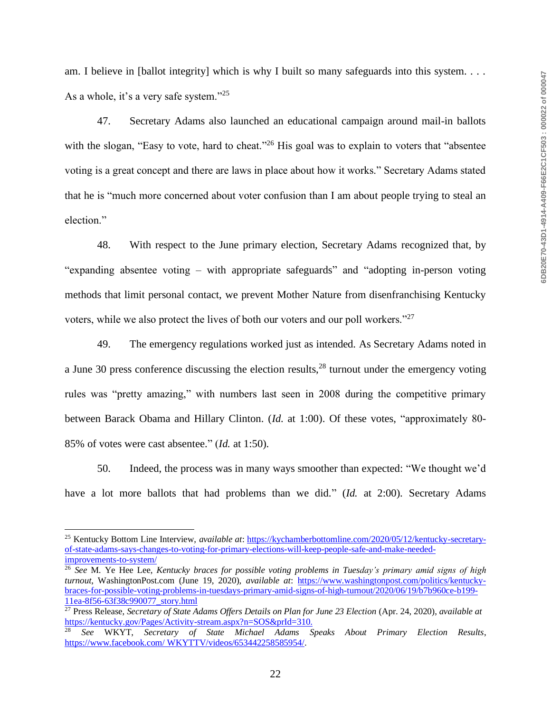am. I believe in [ballot integrity] which is why I built so many safeguards into this system. . . . As a whole, it's a very safe system."<sup>25</sup>

47. Secretary Adams also launched an educational campaign around mail-in ballots with the slogan, "Easy to vote, hard to cheat."<sup>26</sup> His goal was to explain to voters that "absentee" voting is a great concept and there are laws in place about how it works." Secretary Adams stated that he is "much more concerned about voter confusion than I am about people trying to steal an election."

48. With respect to the June primary election, Secretary Adams recognized that, by "expanding absentee voting – with appropriate safeguards" and "adopting in-person voting methods that limit personal contact, we prevent Mother Nature from disenfranchising Kentucky voters, while we also protect the lives of both our voters and our poll workers."<sup>27</sup>

49. The emergency regulations worked just as intended. As Secretary Adams noted in a June 30 press conference discussing the election results,  $^{28}$  turnout under the emergency voting rules was "pretty amazing," with numbers last seen in 2008 during the competitive primary between Barack Obama and Hillary Clinton. (*Id.* at 1:00). Of these votes, "approximately 80- 85% of votes were cast absentee." (*Id.* at 1:50).

50. Indeed, the process was in many ways smoother than expected: "We thought we'd have a lot more ballots that had problems than we did." (*Id.* at 2:00). Secretary Adams

<sup>25</sup> Kentucky Bottom Line Interview, *available at*: [https://kychamberbottomline.com/2020/05/12/kentucky-secretary](https://kychamberbottomline.com/2020/05/12/kentucky-secretary-of-state-adams-says-changes-to-voting-for-primary-elections-will-keep-people-safe-and-make-needed-improvements-to-system/)[of-state-adams-says-changes-to-voting-for-primary-elections-will-keep-people-safe-and-make-needed](https://kychamberbottomline.com/2020/05/12/kentucky-secretary-of-state-adams-says-changes-to-voting-for-primary-elections-will-keep-people-safe-and-make-needed-improvements-to-system/)[improvements-to-system/](https://kychamberbottomline.com/2020/05/12/kentucky-secretary-of-state-adams-says-changes-to-voting-for-primary-elections-will-keep-people-safe-and-make-needed-improvements-to-system/)

<sup>26</sup> *See* M. Ye Hee Lee, *Kentucky braces for possible voting problems in Tuesday's primary amid signs of high turnout*, WashingtonPost.com (June 19, 2020), *available at*: [https://www.washingtonpost.com/politics/kentucky](https://www.washingtonpost.com/politics/kentucky-braces-for-possible-voting-problems-in-tuesdays-primary-amid-signs-of-high-turnout/2020/06/19/b7b960ce-b199-11ea-8f56-63f38c990077_story.html)[braces-for-possible-voting-problems-in-tuesdays-primary-amid-signs-of-high-turnout/2020/06/19/b7b960ce-b199-](https://www.washingtonpost.com/politics/kentucky-braces-for-possible-voting-problems-in-tuesdays-primary-amid-signs-of-high-turnout/2020/06/19/b7b960ce-b199-11ea-8f56-63f38c990077_story.html) [11ea-8f56-63f38c990077\\_story.html](https://www.washingtonpost.com/politics/kentucky-braces-for-possible-voting-problems-in-tuesdays-primary-amid-signs-of-high-turnout/2020/06/19/b7b960ce-b199-11ea-8f56-63f38c990077_story.html)

<sup>27</sup> Press Release, *Secretary of State Adams Offers Details on Plan for June 23 Election* (Apr. 24, 2020), *available at* [https://kentucky.gov/Pages/Activity-stream.aspx?n=SOS&prId=310.](https://kentucky.gov/Pages/Activity-stream.aspx?n=SOS&prId=310)<br>
See WEVT

<sup>28</sup> *See* WKYT, *Secretary of State Michael Adams Speaks About Primary Election Results*, [https://www.facebook.com/ WKYTTV/videos/653442258585954/.](https://www.facebook.com/WKYTTV/videos/653442258585954/)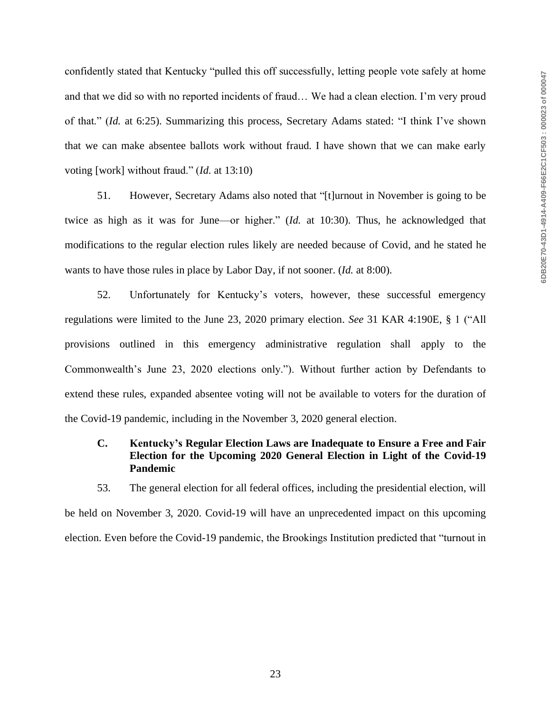confidently stated that Kentucky "pulled this off successfully, letting people vote safely at home and that we did so with no reported incidents of fraud… We had a clean election. I'm very proud of that." (*Id.* at 6:25). Summarizing this process, Secretary Adams stated: "I think I've shown that we can make absentee ballots work without fraud. I have shown that we can make early voting [work] without fraud." (*Id.* at 13:10)

51. However, Secretary Adams also noted that "[t]urnout in November is going to be twice as high as it was for June—or higher." (*Id.* at 10:30). Thus, he acknowledged that modifications to the regular election rules likely are needed because of Covid, and he stated he wants to have those rules in place by Labor Day, if not sooner. (*Id.* at 8:00).

52. Unfortunately for Kentucky's voters, however, these successful emergency regulations were limited to the June 23, 2020 primary election. *See* 31 KAR 4:190E, § 1 ("All provisions outlined in this emergency administrative regulation shall apply to the Commonwealth's June 23, 2020 elections only."). Without further action by Defendants to extend these rules, expanded absentee voting will not be available to voters for the duration of the Covid-19 pandemic, including in the November 3, 2020 general election.

# **C. Kentucky's Regular Election Laws are Inadequate to Ensure a Free and Fair Election for the Upcoming 2020 General Election in Light of the Covid-19 Pandemic**

53. The general election for all federal offices, including the presidential election, will be held on November 3, 2020. Covid-19 will have an unprecedented impact on this upcoming election. Even before the Covid-19 pandemic, the Brookings Institution predicted that "turnout in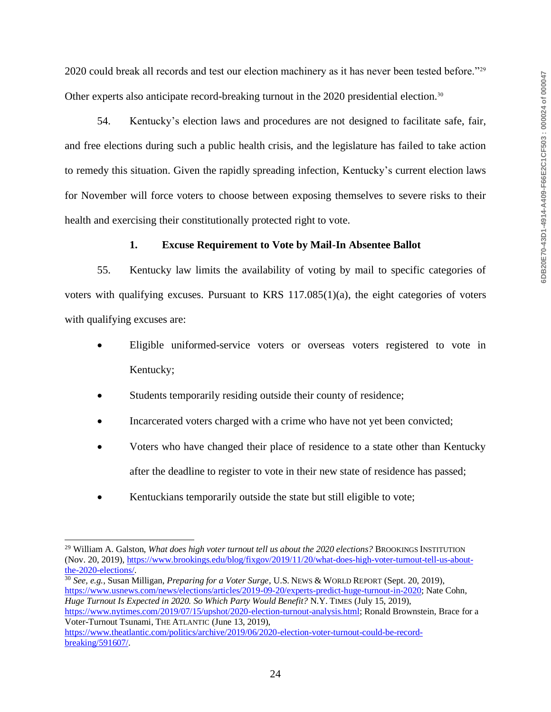2020 could break all records and test our election machinery as it has never been tested before."<sup>29</sup> Other experts also anticipate record-breaking turnout in the 2020 presidential election.<sup>30</sup>

54. Kentucky's election laws and procedures are not designed to facilitate safe, fair, and free elections during such a public health crisis, and the legislature has failed to take action to remedy this situation. Given the rapidly spreading infection, Kentucky's current election laws for November will force voters to choose between exposing themselves to severe risks to their health and exercising their constitutionally protected right to vote.

#### **1. Excuse Requirement to Vote by Mail-In Absentee Ballot**

55. Kentucky law limits the availability of voting by mail to specific categories of voters with qualifying excuses. Pursuant to KRS  $117.085(1)(a)$ , the eight categories of voters with qualifying excuses are:

- Eligible uniformed-service voters or overseas voters registered to vote in Kentucky;
- Students temporarily residing outside their county of residence;
- Incarcerated voters charged with a crime who have not yet been convicted;
- Voters who have changed their place of residence to a state other than Kentucky after the deadline to register to vote in their new state of residence has passed;
- Kentuckians temporarily outside the state but still eligible to vote;

<sup>30</sup> *See, e.g.*, Susan Milligan, *Preparing for a Voter Surge*, U.S. NEWS & WORLD REPORT (Sept. 20, 2019), [https://www.usnews.com/news/elections/articles/2019-09-20/experts-predict-huge-turnout-in-2020;](https://www.usnews.com/news/elections/articles/2019-09-20/experts-predict-huge-turnout-in-2020) Nate Cohn, *Huge Turnout Is Expected in 2020. So Which Party Would Benefit?* N.Y. TIMES (July 15, 2019), [https://www.nytimes.com/2019/07/15/upshot/2020-election-turnout-analysis.html;](https://www.nytimes.com/2019/07/15/upshot/2020-election-turnout-analysis.html) Ronald Brownstein, Brace for a Voter-Turnout Tsunami, THE ATLANTIC (June 13, 2019),

<sup>&</sup>lt;sup>29</sup> William A. Galston, *What does high voter turnout tell us about the 2020 elections?* BROOKINGS INSTITUTION (Nov. 20, 2019), [https://www.brookings.edu/blog/fixgov/2019/11/20/what-does-high-voter-turnout-tell-us-about](https://www.brookings.edu/blog/fixgov/2019/11/20/what-does-high-voter-turnout-tell-us-about-the-2020-elections/)[the-2020-elections/.](https://www.brookings.edu/blog/fixgov/2019/11/20/what-does-high-voter-turnout-tell-us-about-the-2020-elections/)

[https://www.theatlantic.com/politics/archive/2019/06/2020-election-voter-turnout-could-be-record](https://www.theatlantic.com/politics/archive/2019/06/2020-election-voter-turnout-could-be-record-breaking/591607/)[breaking/591607/.](https://www.theatlantic.com/politics/archive/2019/06/2020-election-voter-turnout-could-be-record-breaking/591607/)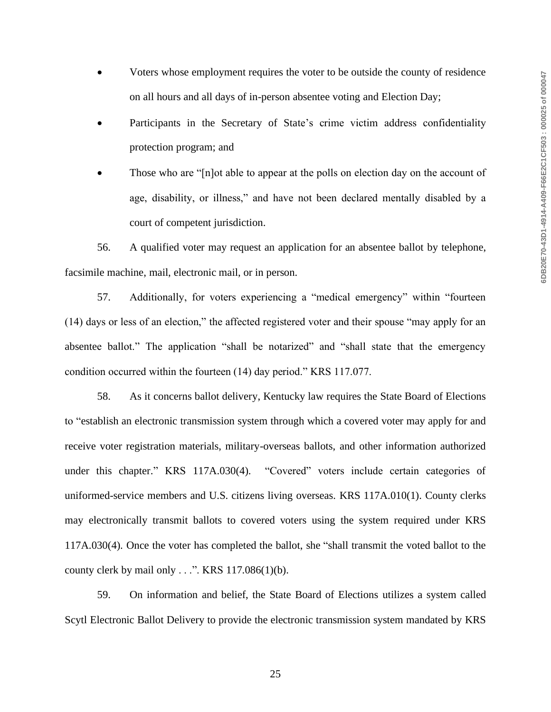- Voters whose employment requires the voter to be outside the county of residence on all hours and all days of in-person absentee voting and Election Day;
- Participants in the Secretary of State's crime victim address confidentiality protection program; and
- Those who are "[n]ot able to appear at the polls on election day on the account of age, disability, or illness," and have not been declared mentally disabled by a court of competent jurisdiction.

56. A qualified voter may request an application for an absentee ballot by telephone, facsimile machine, mail, electronic mail, or in person.

57. Additionally, for voters experiencing a "medical emergency" within "fourteen (14) days or less of an election," the affected registered voter and their spouse "may apply for an absentee ballot." The application "shall be notarized" and "shall state that the emergency condition occurred within the fourteen (14) day period." KRS 117.077.

58. As it concerns ballot delivery, Kentucky law requires the State Board of Elections to "establish an electronic transmission system through which a covered voter may apply for and receive voter registration materials, military-overseas ballots, and other information authorized under this chapter." KRS 117A.030(4). "Covered" voters include certain categories of uniformed-service members and U.S. citizens living overseas. KRS 117A.010(1). County clerks may electronically transmit ballots to covered voters using the system required under KRS 117A.030(4). Once the voter has completed the ballot, she "shall transmit the voted ballot to the county clerk by mail only . . .". KRS 117.086(1)(b).

59. On information and belief, the State Board of Elections utilizes a system called Scytl Electronic Ballot Delivery to provide the electronic transmission system mandated by KRS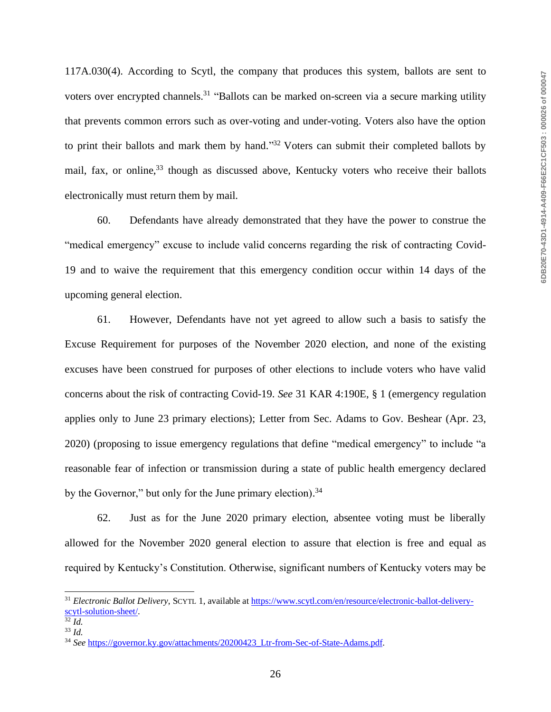117A.030(4). According to Scytl, the company that produces this system, ballots are sent to voters over encrypted channels.<sup>31</sup> "Ballots can be marked on-screen via a secure marking utility that prevents common errors such as over-voting and under-voting. Voters also have the option to print their ballots and mark them by hand."<sup>32</sup> Voters can submit their completed ballots by mail, fax, or online,<sup>33</sup> though as discussed above, Kentucky voters who receive their ballots electronically must return them by mail.

60. Defendants have already demonstrated that they have the power to construe the "medical emergency" excuse to include valid concerns regarding the risk of contracting Covid-19 and to waive the requirement that this emergency condition occur within 14 days of the upcoming general election.

61. However, Defendants have not yet agreed to allow such a basis to satisfy the Excuse Requirement for purposes of the November 2020 election, and none of the existing excuses have been construed for purposes of other elections to include voters who have valid concerns about the risk of contracting Covid-19. *See* 31 KAR 4:190E, § 1 (emergency regulation applies only to June 23 primary elections); Letter from Sec. Adams to Gov. Beshear (Apr. 23, 2020) (proposing to issue emergency regulations that define "medical emergency" to include "a reasonable fear of infection or transmission during a state of public health emergency declared by the Governor," but only for the June primary election).<sup>34</sup>

62. Just as for the June 2020 primary election, absentee voting must be liberally allowed for the November 2020 general election to assure that election is free and equal as required by Kentucky's Constitution. Otherwise, significant numbers of Kentucky voters may be

<sup>&</sup>lt;sup>31</sup> *Electronic Ballot Delivery*, SCYTL 1, available at [https://www.scytl.com/en/resource/electronic-ballot-delivery](https://www.scytl.com/en/resource/electronic-ballot-delivery-scytl-solution-sheet/)[scytl-solution-sheet/.](https://www.scytl.com/en/resource/electronic-ballot-delivery-scytl-solution-sheet/)

 $\overline{\frac{32}{}}\,Id.$ 

<sup>33</sup> *Id.*

<sup>34</sup> *See* [https://governor.ky.gov/attachments/20200423\\_Ltr-from-Sec-of-State-Adams.pdf.](https://governor.ky.gov/attachments/20200423_Ltr-from-Sec-of-State-Adams.pdf)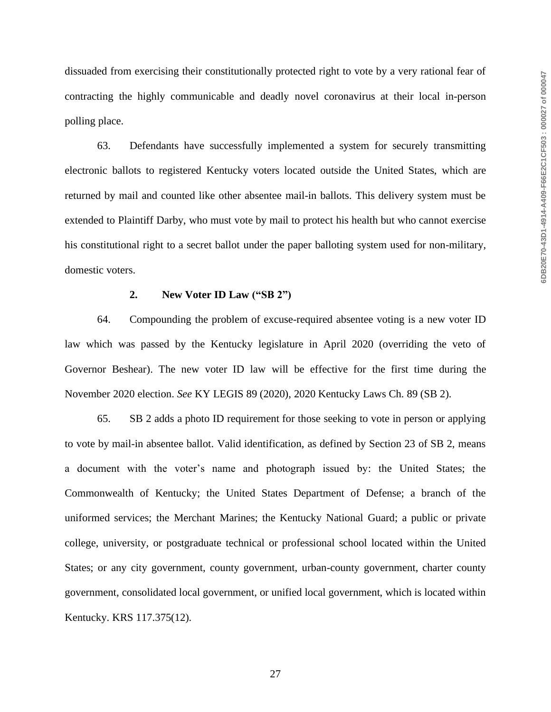dissuaded from exercising their constitutionally protected right to vote by a very rational fear of contracting the highly communicable and deadly novel coronavirus at their local in-person polling place.

63. Defendants have successfully implemented a system for securely transmitting electronic ballots to registered Kentucky voters located outside the United States, which are returned by mail and counted like other absentee mail-in ballots. This delivery system must be extended to Plaintiff Darby, who must vote by mail to protect his health but who cannot exercise his constitutional right to a secret ballot under the paper balloting system used for non-military, domestic voters.

#### **2. New Voter ID Law ("SB 2")**

64. Compounding the problem of excuse-required absentee voting is a new voter ID law which was passed by the Kentucky legislature in April 2020 (overriding the veto of Governor Beshear). The new voter ID law will be effective for the first time during the November 2020 election. *See* KY LEGIS 89 (2020), 2020 Kentucky Laws Ch. 89 (SB 2).

65. SB 2 adds a photo ID requirement for those seeking to vote in person or applying to vote by mail-in absentee ballot. Valid identification, as defined by Section 23 of SB 2, means a document with the voter's name and photograph issued by: the United States; the Commonwealth of Kentucky; the United States Department of Defense; a branch of the uniformed services; the Merchant Marines; the Kentucky National Guard; a public or private college, university, or postgraduate technical or professional school located within the United States; or any city government, county government, urban-county government, charter county government, consolidated local government, or unified local government, which is located within Kentucky. KRS 117.375(12).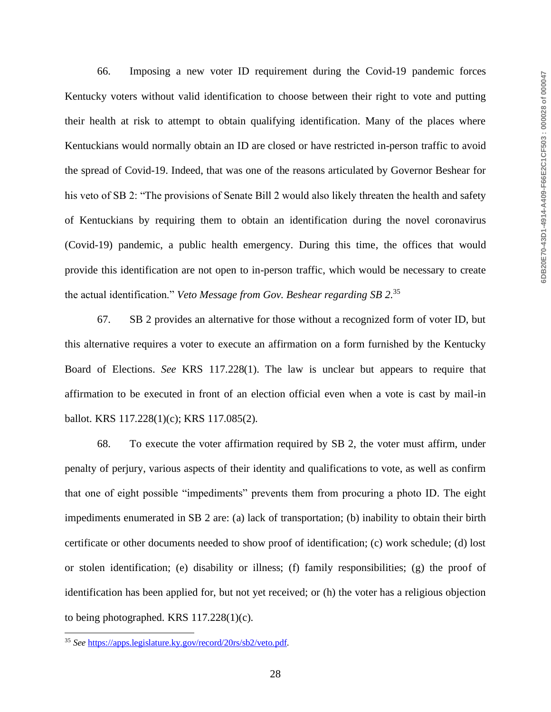66. Imposing a new voter ID requirement during the Covid-19 pandemic forces Kentucky voters without valid identification to choose between their right to vote and putting their health at risk to attempt to obtain qualifying identification. Many of the places where Kentuckians would normally obtain an ID are closed or have restricted in-person traffic to avoid the spread of Covid-19. Indeed, that was one of the reasons articulated by Governor Beshear for his veto of SB 2: "The provisions of Senate Bill 2 would also likely threaten the health and safety of Kentuckians by requiring them to obtain an identification during the novel coronavirus (Covid-19) pandemic, a public health emergency. During this time, the offices that would provide this identification are not open to in-person traffic, which would be necessary to create the actual identification." *Veto Message from Gov. Beshear regarding SB 2.* 35

67. SB 2 provides an alternative for those without a recognized form of voter ID, but this alternative requires a voter to execute an affirmation on a form furnished by the Kentucky Board of Elections. *See* KRS 117.228(1). The law is unclear but appears to require that affirmation to be executed in front of an election official even when a vote is cast by mail-in ballot. KRS 117.228(1)(c); KRS 117.085(2).

68. To execute the voter affirmation required by SB 2, the voter must affirm, under penalty of perjury, various aspects of their identity and qualifications to vote, as well as confirm that one of eight possible "impediments" prevents them from procuring a photo ID. The eight impediments enumerated in SB 2 are: (a) lack of transportation; (b) inability to obtain their birth certificate or other documents needed to show proof of identification; (c) work schedule; (d) lost or stolen identification; (e) disability or illness; (f) family responsibilities; (g) the proof of identification has been applied for, but not yet received; or (h) the voter has a religious objection to being photographed. KRS 117.228(1)(c).

<sup>35</sup> *See* [https://apps.legislature.ky.gov/record/20rs/sb2/veto.pdf.](https://apps.legislature.ky.gov/record/20rs/sb2/veto.pdf)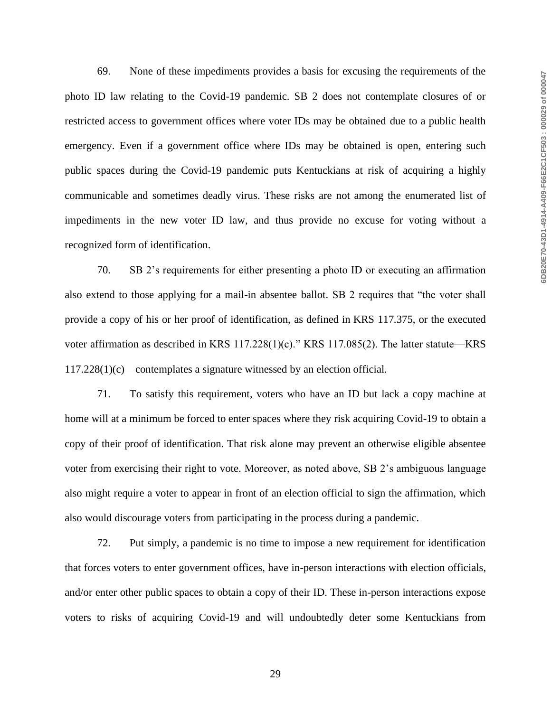69. None of these impediments provides a basis for excusing the requirements of the photo ID law relating to the Covid-19 pandemic. SB 2 does not contemplate closures of or restricted access to government offices where voter IDs may be obtained due to a public health emergency. Even if a government office where IDs may be obtained is open, entering such public spaces during the Covid-19 pandemic puts Kentuckians at risk of acquiring a highly communicable and sometimes deadly virus. These risks are not among the enumerated list of impediments in the new voter ID law, and thus provide no excuse for voting without a recognized form of identification.

70. SB 2's requirements for either presenting a photo ID or executing an affirmation also extend to those applying for a mail-in absentee ballot. SB 2 requires that "the voter shall provide a copy of his or her proof of identification, as defined in KRS 117.375, or the executed voter affirmation as described in KRS 117.228(1)(c)." KRS 117.085(2). The latter statute—KRS 117.228(1)(c)—contemplates a signature witnessed by an election official.

71. To satisfy this requirement, voters who have an ID but lack a copy machine at home will at a minimum be forced to enter spaces where they risk acquiring Covid-19 to obtain a copy of their proof of identification. That risk alone may prevent an otherwise eligible absentee voter from exercising their right to vote. Moreover, as noted above, SB 2's ambiguous language also might require a voter to appear in front of an election official to sign the affirmation, which also would discourage voters from participating in the process during a pandemic.

72. Put simply, a pandemic is no time to impose a new requirement for identification that forces voters to enter government offices, have in-person interactions with election officials, and/or enter other public spaces to obtain a copy of their ID. These in-person interactions expose voters to risks of acquiring Covid-19 and will undoubtedly deter some Kentuckians from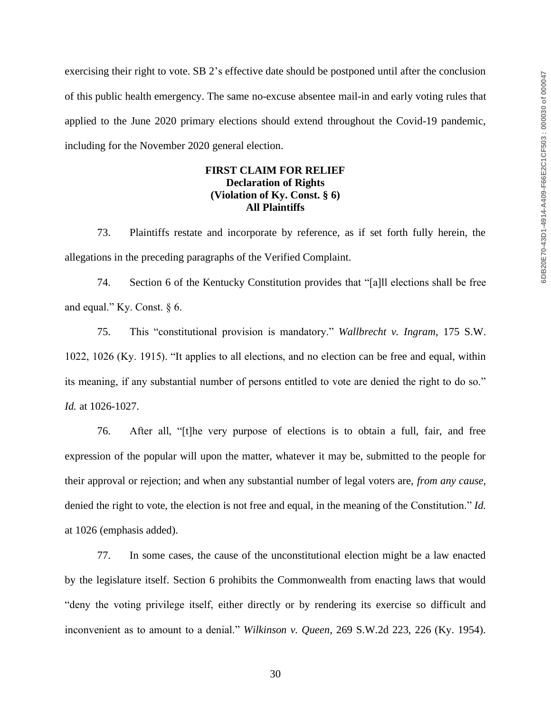exercising their right to vote. SB 2's effective date should be postponed until after the conclusion of this public health emergency. The same no-excuse absentee mail-in and early voting rules that applied to the June 2020 primary elections should extend throughout the Covid-19 pandemic, including for the November 2020 general election.

# **FIRST CLAIM FOR RELIEF Declaration of Rights (Violation of Ky. Const. § 6) All Plaintiffs**

73. Plaintiffs restate and incorporate by reference, as if set forth fully herein, the allegations in the preceding paragraphs of the Verified Complaint.

74. Section 6 of the Kentucky Constitution provides that "[a]ll elections shall be free and equal." Ky. Const. § 6.

75. This "constitutional provision is mandatory." *Wallbrecht v. Ingram*, 175 S.W. 1022, 1026 (Ky. 1915). "It applies to all elections, and no election can be free and equal, within its meaning, if any substantial number of persons entitled to vote are denied the right to do so." *Id.* at 1026-1027.

76. After all, "[t]he very purpose of elections is to obtain a full, fair, and free expression of the popular will upon the matter, whatever it may be, submitted to the people for their approval or rejection; and when any substantial number of legal voters are, *from any cause*, denied the right to vote, the election is not free and equal, in the meaning of the Constitution." *Id.* at 1026 (emphasis added).

77. In some cases, the cause of the unconstitutional election might be a law enacted by the legislature itself. Section 6 prohibits the Commonwealth from enacting laws that would "deny the voting privilege itself, either directly or by rendering its exercise so difficult and inconvenient as to amount to a denial." *Wilkinson v. Queen*, 269 S.W.2d 223, 226 (Ky. 1954).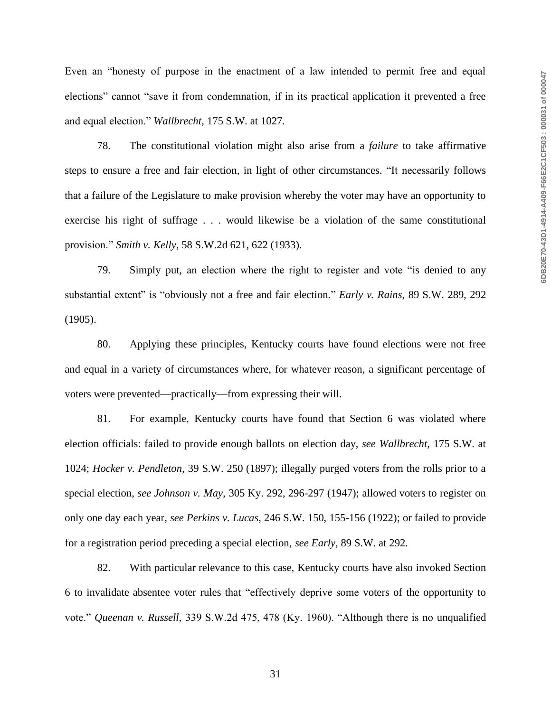Even an "honesty of purpose in the enactment of a law intended to permit free and equal elections" cannot "save it from condemnation, if in its practical application it prevented a free and equal election." *Wallbrecht*, 175 S.W. at 1027*.*

78. The constitutional violation might also arise from a *failure* to take affirmative steps to ensure a free and fair election, in light of other circumstances. "It necessarily follows that a failure of the Legislature to make provision whereby the voter may have an opportunity to exercise his right of suffrage . . . would likewise be a violation of the same constitutional provision." *Smith v. Kelly*, 58 S.W.2d 621, 622 (1933).

79. Simply put, an election where the right to register and vote "is denied to any substantial extent" is "obviously not a free and fair election." *Early v. Rains*, 89 S.W. 289, 292 (1905).

80. Applying these principles, Kentucky courts have found elections were not free and equal in a variety of circumstances where, for whatever reason, a significant percentage of voters were prevented—practically—from expressing their will.

81. For example, Kentucky courts have found that Section 6 was violated where election officials: failed to provide enough ballots on election day, *see Wallbrecht*, 175 S.W. at 1024; *Hocker v. Pendleton*, 39 S.W. 250 (1897); illegally purged voters from the rolls prior to a special election, *see Johnson v. May*, 305 Ky. 292, 296-297 (1947); allowed voters to register on only one day each year, *see Perkins v. Lucas*, 246 S.W. 150, 155-156 (1922); or failed to provide for a registration period preceding a special election, *see Early*, 89 S.W. at 292.

82. With particular relevance to this case, Kentucky courts have also invoked Section 6 to invalidate absentee voter rules that "effectively deprive some voters of the opportunity to vote." *Queenan v. Russell*, 339 S.W.2d 475, 478 (Ky. 1960). "Although there is no unqualified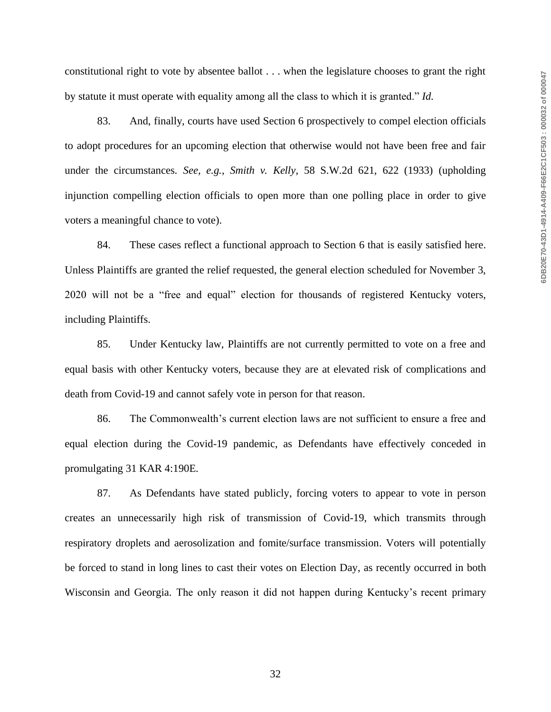constitutional right to vote by absentee ballot . . . when the legislature chooses to grant the right by statute it must operate with equality among all the class to which it is granted." *Id.*

83. And, finally, courts have used Section 6 prospectively to compel election officials to adopt procedures for an upcoming election that otherwise would not have been free and fair under the circumstances. *See, e.g.*, *Smith v. Kelly*, 58 S.W.2d 621, 622 (1933) (upholding injunction compelling election officials to open more than one polling place in order to give voters a meaningful chance to vote).

84. These cases reflect a functional approach to Section 6 that is easily satisfied here. Unless Plaintiffs are granted the relief requested, the general election scheduled for November 3, 2020 will not be a "free and equal" election for thousands of registered Kentucky voters, including Plaintiffs.

85. Under Kentucky law, Plaintiffs are not currently permitted to vote on a free and equal basis with other Kentucky voters, because they are at elevated risk of complications and death from Covid-19 and cannot safely vote in person for that reason.

86. The Commonwealth's current election laws are not sufficient to ensure a free and equal election during the Covid-19 pandemic, as Defendants have effectively conceded in promulgating 31 KAR 4:190E.

87. As Defendants have stated publicly, forcing voters to appear to vote in person creates an unnecessarily high risk of transmission of Covid-19, which transmits through respiratory droplets and aerosolization and fomite/surface transmission. Voters will potentially be forced to stand in long lines to cast their votes on Election Day, as recently occurred in both Wisconsin and Georgia. The only reason it did not happen during Kentucky's recent primary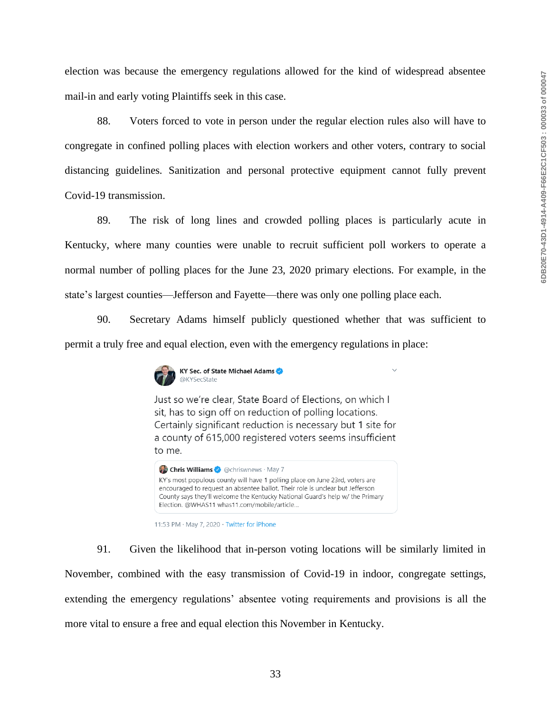election was because the emergency regulations allowed for the kind of widespread absentee mail-in and early voting Plaintiffs seek in this case.

88. Voters forced to vote in person under the regular election rules also will have to congregate in confined polling places with election workers and other voters, contrary to social distancing guidelines. Sanitization and personal protective equipment cannot fully prevent Covid-19 transmission.

89. The risk of long lines and crowded polling places is particularly acute in Kentucky, where many counties were unable to recruit sufficient poll workers to operate a normal number of polling places for the June 23, 2020 primary elections. For example, in the state's largest counties—Jefferson and Fayette—there was only one polling place each.

90. Secretary Adams himself publicly questioned whether that was sufficient to permit a truly free and equal election, even with the emergency regulations in place:



Just so we're clear, State Board of Elections, on which I sit, has to sign off on reduction of polling locations. Certainly significant reduction is necessary but 1 site for a county of 615,000 registered voters seems insufficient to me.



<sup>11:53</sup> PM · May 7, 2020 · Twitter for iPhone

91. Given the likelihood that in-person voting locations will be similarly limited in November, combined with the easy transmission of Covid-19 in indoor, congregate settings, extending the emergency regulations' absentee voting requirements and provisions is all the more vital to ensure a free and equal election this November in Kentucky.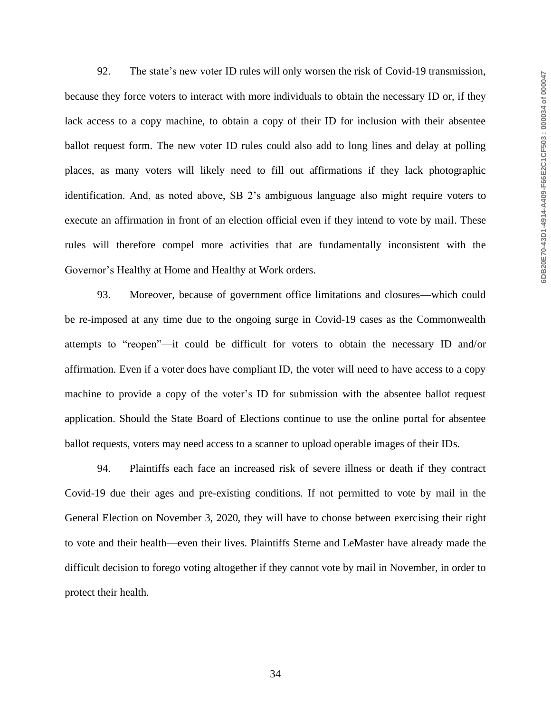92. The state's new voter ID rules will only worsen the risk of Covid-19 transmission, because they force voters to interact with more individuals to obtain the necessary ID or, if they lack access to a copy machine, to obtain a copy of their ID for inclusion with their absentee ballot request form. The new voter ID rules could also add to long lines and delay at polling places, as many voters will likely need to fill out affirmations if they lack photographic identification. And, as noted above, SB 2's ambiguous language also might require voters to execute an affirmation in front of an election official even if they intend to vote by mail. These rules will therefore compel more activities that are fundamentally inconsistent with the Governor's Healthy at Home and Healthy at Work orders.

93. Moreover, because of government office limitations and closures—which could be re-imposed at any time due to the ongoing surge in Covid-19 cases as the Commonwealth attempts to "reopen"—it could be difficult for voters to obtain the necessary ID and/or affirmation. Even if a voter does have compliant ID, the voter will need to have access to a copy machine to provide a copy of the voter's ID for submission with the absentee ballot request application. Should the State Board of Elections continue to use the online portal for absentee ballot requests, voters may need access to a scanner to upload operable images of their IDs.

94. Plaintiffs each face an increased risk of severe illness or death if they contract Covid-19 due their ages and pre-existing conditions. If not permitted to vote by mail in the General Election on November 3, 2020, they will have to choose between exercising their right to vote and their health—even their lives. Plaintiffs Sterne and LeMaster have already made the difficult decision to forego voting altogether if they cannot vote by mail in November, in order to protect their health.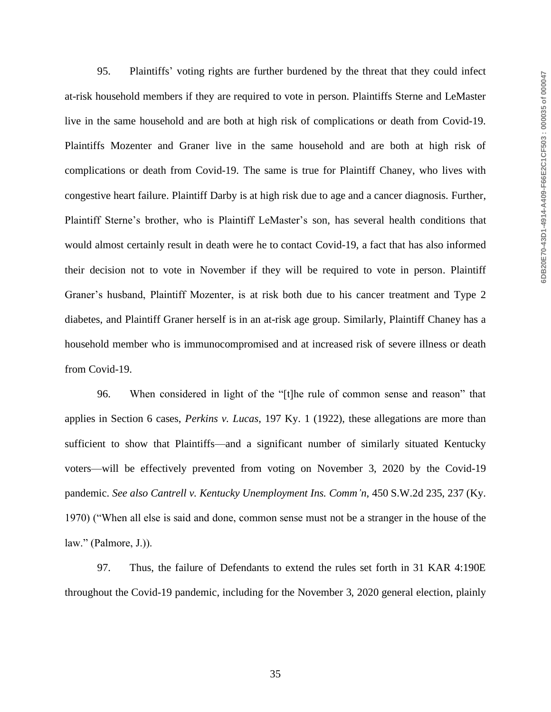95. Plaintiffs' voting rights are further burdened by the threat that they could infect at-risk household members if they are required to vote in person. Plaintiffs Sterne and LeMaster live in the same household and are both at high risk of complications or death from Covid-19. Plaintiffs Mozenter and Graner live in the same household and are both at high risk of complications or death from Covid-19. The same is true for Plaintiff Chaney, who lives with congestive heart failure. Plaintiff Darby is at high risk due to age and a cancer diagnosis. Further, Plaintiff Sterne's brother, who is Plaintiff LeMaster's son, has several health conditions that would almost certainly result in death were he to contact Covid-19, a fact that has also informed their decision not to vote in November if they will be required to vote in person. Plaintiff Graner's husband, Plaintiff Mozenter, is at risk both due to his cancer treatment and Type 2 diabetes, and Plaintiff Graner herself is in an at-risk age group. Similarly, Plaintiff Chaney has a household member who is immunocompromised and at increased risk of severe illness or death from Covid-19.

96. When considered in light of the "[t]he rule of common sense and reason" that applies in Section 6 cases, *Perkins v. Lucas*, 197 Ky. 1 (1922), these allegations are more than sufficient to show that Plaintiffs—and a significant number of similarly situated Kentucky voters—will be effectively prevented from voting on November 3, 2020 by the Covid-19 pandemic. *See also Cantrell v. Kentucky Unemployment Ins. Comm'n*, 450 S.W.2d 235, 237 (Ky. 1970) ("When all else is said and done, common sense must not be a stranger in the house of the law." (Palmore, J.)).

97. Thus, the failure of Defendants to extend the rules set forth in 31 KAR 4:190E throughout the Covid-19 pandemic, including for the November 3, 2020 general election, plainly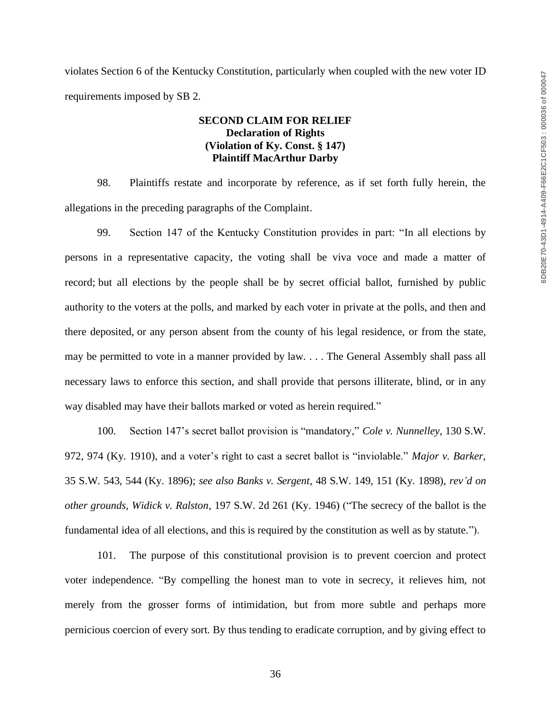violates Section 6 of the Kentucky Constitution, particularly when coupled with the new voter ID requirements imposed by SB 2.

# **SECOND CLAIM FOR RELIEF Declaration of Rights (Violation of Ky. Const. § 147) Plaintiff MacArthur Darby**

98. Plaintiffs restate and incorporate by reference, as if set forth fully herein, the allegations in the preceding paragraphs of the Complaint.

99. Section 147 of the Kentucky Constitution provides in part: "In all elections by persons in a representative capacity, the voting shall be viva voce and made a matter of record; but all elections by the people shall be by secret official ballot, furnished by public authority to the voters at the polls, and marked by each voter in private at the polls, and then and there deposited, or any person absent from the county of his legal residence, or from the state, may be permitted to vote in a manner provided by law. . . . The General Assembly shall pass all necessary laws to enforce this section, and shall provide that persons illiterate, blind, or in any way disabled may have their ballots marked or voted as herein required."

100. Section 147's secret ballot provision is "mandatory," *Cole v. Nunnelley*, 130 S.W. 972, 974 (Ky. 1910), and a voter's right to cast a secret ballot is "inviolable." *Major v. Barker*, 35 S.W. 543, 544 (Ky. 1896); *see also Banks v. Sergent*, 48 S.W. 149, 151 (Ky. 1898), *rev'd on other grounds, Widick v. Ralston*, 197 S.W. 2d 261 (Ky. 1946) ("The secrecy of the ballot is the fundamental idea of all elections, and this is required by the constitution as well as by statute.").

101. The purpose of this constitutional provision is to prevent coercion and protect voter independence. "By compelling the honest man to vote in secrecy, it relieves him, not merely from the grosser forms of intimidation, but from more subtle and perhaps more pernicious coercion of every sort. By thus tending to eradicate corruption, and by giving effect to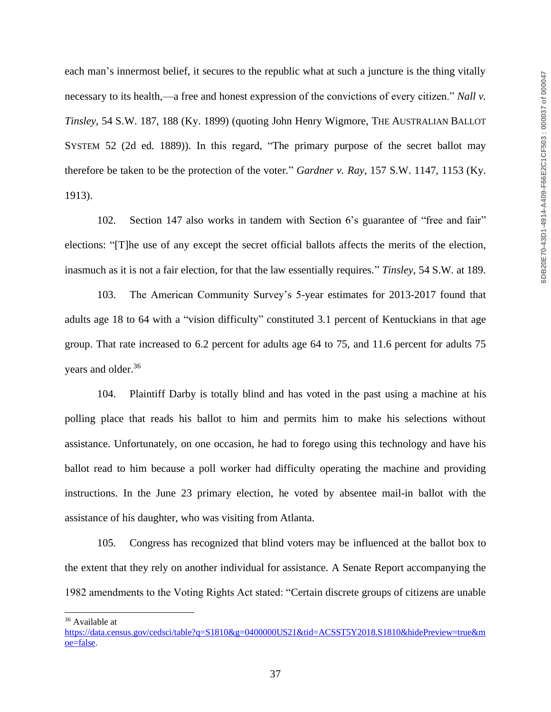each man's innermost belief, it secures to the republic what at such a juncture is the thing vitally necessary to its health,—a free and honest expression of the convictions of every citizen." *Nall v. Tinsley*, 54 S.W. 187, 188 (Ky. 1899) (quoting John Henry Wigmore, THE AUSTRALIAN BALLOT SYSTEM 52 (2d ed. 1889)). In this regard, "The primary purpose of the secret ballot may therefore be taken to be the protection of the voter." *Gardner v. Ray*, 157 S.W. 1147, 1153 (Ky. 1913).

102. Section 147 also works in tandem with Section 6's guarantee of "free and fair" elections: "[T]he use of any except the secret official ballots affects the merits of the election, inasmuch as it is not a fair election, for that the law essentially requires." *Tinsley*, 54 S.W. at 189.

103. The American Community Survey's 5-year estimates for 2013-2017 found that adults age 18 to 64 with a "vision difficulty" constituted 3.1 percent of Kentuckians in that age group. That rate increased to 6.2 percent for adults age 64 to 75, and 11.6 percent for adults 75 years and older.<sup>36</sup>

104. Plaintiff Darby is totally blind and has voted in the past using a machine at his polling place that reads his ballot to him and permits him to make his selections without assistance. Unfortunately, on one occasion, he had to forego using this technology and have his ballot read to him because a poll worker had difficulty operating the machine and providing instructions. In the June 23 primary election, he voted by absentee mail-in ballot with the assistance of his daughter, who was visiting from Atlanta.

105. Congress has recognized that blind voters may be influenced at the ballot box to the extent that they rely on another individual for assistance. A Senate Report accompanying the 1982 amendments to the Voting Rights Act stated: "Certain discrete groups of citizens are unable

<sup>36</sup> Available at

[https://data.census.gov/cedsci/table?q=S1810&g=0400000US21&tid=ACSST5Y2018.S1810&hidePreview=true&m](https://data.census.gov/cedsci/table?q=S1810&g=0400000US21&tid=ACSST5Y2018.S1810&hidePreview=true&moe=false) [oe=false.](https://data.census.gov/cedsci/table?q=S1810&g=0400000US21&tid=ACSST5Y2018.S1810&hidePreview=true&moe=false)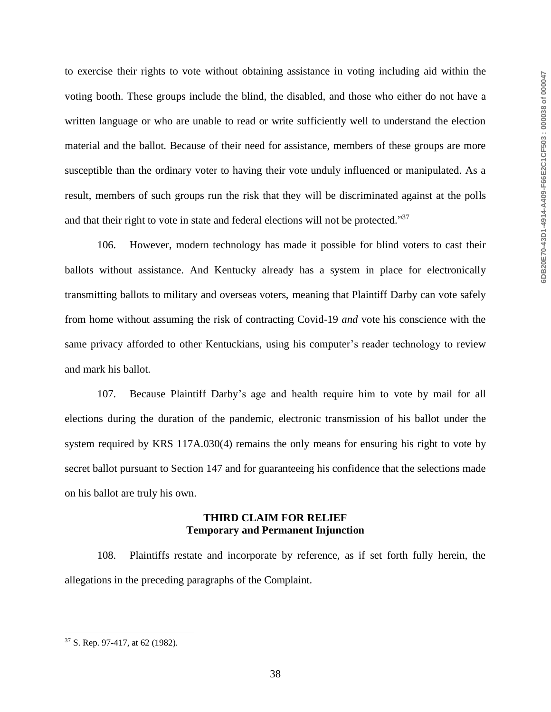to exercise their rights to vote without obtaining assistance in voting including aid within the voting booth. These groups include the blind, the disabled, and those who either do not have a written language or who are unable to read or write sufficiently well to understand the election material and the ballot. Because of their need for assistance, members of these groups are more susceptible than the ordinary voter to having their vote unduly influenced or manipulated. As a result, members of such groups run the risk that they will be discriminated against at the polls and that their right to vote in state and federal elections will not be protected."37

106. However, modern technology has made it possible for blind voters to cast their ballots without assistance. And Kentucky already has a system in place for electronically transmitting ballots to military and overseas voters, meaning that Plaintiff Darby can vote safely from home without assuming the risk of contracting Covid-19 *and* vote his conscience with the same privacy afforded to other Kentuckians, using his computer's reader technology to review and mark his ballot.

107. Because Plaintiff Darby's age and health require him to vote by mail for all elections during the duration of the pandemic, electronic transmission of his ballot under the system required by KRS 117A.030(4) remains the only means for ensuring his right to vote by secret ballot pursuant to Section 147 and for guaranteeing his confidence that the selections made on his ballot are truly his own.

## **THIRD CLAIM FOR RELIEF Temporary and Permanent Injunction**

108. Plaintiffs restate and incorporate by reference, as if set forth fully herein, the allegations in the preceding paragraphs of the Complaint.

<sup>37</sup> S. Rep. 97-417, at 62 (1982).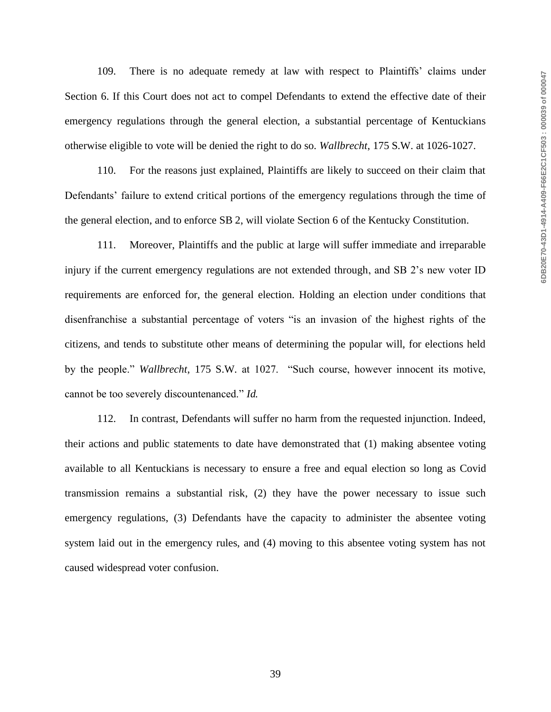109. There is no adequate remedy at law with respect to Plaintiffs' claims under Section 6. If this Court does not act to compel Defendants to extend the effective date of their emergency regulations through the general election, a substantial percentage of Kentuckians otherwise eligible to vote will be denied the right to do so. *Wallbrecht*, 175 S.W. at 1026-1027.

110. For the reasons just explained, Plaintiffs are likely to succeed on their claim that Defendants' failure to extend critical portions of the emergency regulations through the time of the general election, and to enforce SB 2, will violate Section 6 of the Kentucky Constitution.

111. Moreover, Plaintiffs and the public at large will suffer immediate and irreparable injury if the current emergency regulations are not extended through, and SB 2's new voter ID requirements are enforced for, the general election. Holding an election under conditions that disenfranchise a substantial percentage of voters "is an invasion of the highest rights of the citizens, and tends to substitute other means of determining the popular will, for elections held by the people." *Wallbrecht*, 175 S.W. at 1027. "Such course, however innocent its motive, cannot be too severely discountenanced." *Id.*

112. In contrast, Defendants will suffer no harm from the requested injunction. Indeed, their actions and public statements to date have demonstrated that (1) making absentee voting available to all Kentuckians is necessary to ensure a free and equal election so long as Covid transmission remains a substantial risk, (2) they have the power necessary to issue such emergency regulations, (3) Defendants have the capacity to administer the absentee voting system laid out in the emergency rules, and (4) moving to this absentee voting system has not caused widespread voter confusion.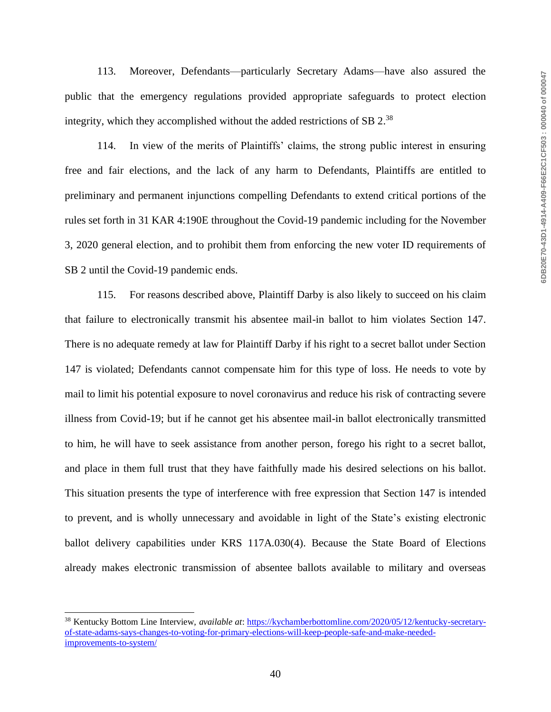113. Moreover, Defendants—particularly Secretary Adams—have also assured the public that the emergency regulations provided appropriate safeguards to protect election integrity, which they accomplished without the added restrictions of SB  $2.^{38}$ 

114. In view of the merits of Plaintiffs' claims, the strong public interest in ensuring free and fair elections, and the lack of any harm to Defendants, Plaintiffs are entitled to preliminary and permanent injunctions compelling Defendants to extend critical portions of the rules set forth in 31 KAR 4:190E throughout the Covid-19 pandemic including for the November 3, 2020 general election, and to prohibit them from enforcing the new voter ID requirements of SB 2 until the Covid-19 pandemic ends.

115. For reasons described above, Plaintiff Darby is also likely to succeed on his claim that failure to electronically transmit his absentee mail-in ballot to him violates Section 147. There is no adequate remedy at law for Plaintiff Darby if his right to a secret ballot under Section 147 is violated; Defendants cannot compensate him for this type of loss. He needs to vote by mail to limit his potential exposure to novel coronavirus and reduce his risk of contracting severe illness from Covid-19; but if he cannot get his absentee mail-in ballot electronically transmitted to him, he will have to seek assistance from another person, forego his right to a secret ballot, and place in them full trust that they have faithfully made his desired selections on his ballot. This situation presents the type of interference with free expression that Section 147 is intended to prevent, and is wholly unnecessary and avoidable in light of the State's existing electronic ballot delivery capabilities under KRS 117A.030(4). Because the State Board of Elections already makes electronic transmission of absentee ballots available to military and overseas

<sup>38</sup> Kentucky Bottom Line Interview, *available at*: [https://kychamberbottomline.com/2020/05/12/kentucky-secretary](https://kychamberbottomline.com/2020/05/12/kentucky-secretary-of-state-adams-says-changes-to-voting-for-primary-elections-will-keep-people-safe-and-make-needed-improvements-to-system/)[of-state-adams-says-changes-to-voting-for-primary-elections-will-keep-people-safe-and-make-needed](https://kychamberbottomline.com/2020/05/12/kentucky-secretary-of-state-adams-says-changes-to-voting-for-primary-elections-will-keep-people-safe-and-make-needed-improvements-to-system/)[improvements-to-system/](https://kychamberbottomline.com/2020/05/12/kentucky-secretary-of-state-adams-says-changes-to-voting-for-primary-elections-will-keep-people-safe-and-make-needed-improvements-to-system/)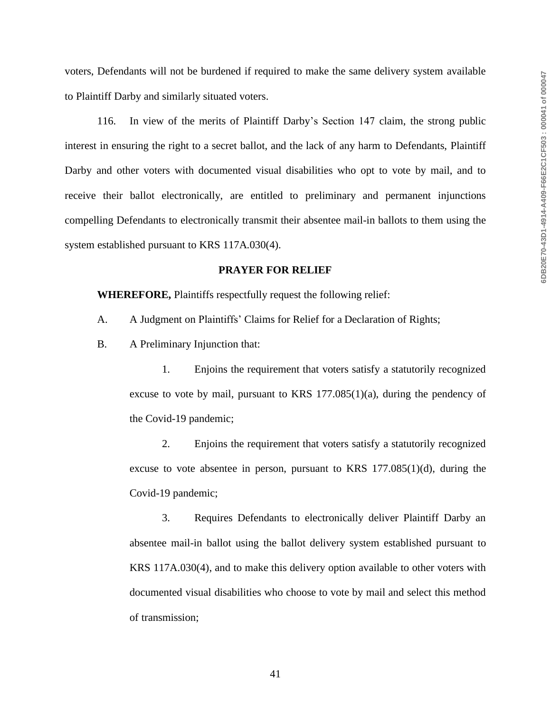voters, Defendants will not be burdened if required to make the same delivery system available to Plaintiff Darby and similarly situated voters.

116. In view of the merits of Plaintiff Darby's Section 147 claim, the strong public interest in ensuring the right to a secret ballot, and the lack of any harm to Defendants, Plaintiff Darby and other voters with documented visual disabilities who opt to vote by mail, and to receive their ballot electronically, are entitled to preliminary and permanent injunctions compelling Defendants to electronically transmit their absentee mail-in ballots to them using the system established pursuant to KRS 117A.030(4).

#### **PRAYER FOR RELIEF**

**WHEREFORE,** Plaintiffs respectfully request the following relief:

- A. A Judgment on Plaintiffs' Claims for Relief for a Declaration of Rights;
- B. A Preliminary Injunction that:

1. Enjoins the requirement that voters satisfy a statutorily recognized excuse to vote by mail, pursuant to KRS  $177.085(1)(a)$ , during the pendency of the Covid-19 pandemic;

2. Enjoins the requirement that voters satisfy a statutorily recognized excuse to vote absentee in person, pursuant to KRS  $177.085(1)(d)$ , during the Covid-19 pandemic;

3. Requires Defendants to electronically deliver Plaintiff Darby an absentee mail-in ballot using the ballot delivery system established pursuant to KRS 117A.030(4), and to make this delivery option available to other voters with documented visual disabilities who choose to vote by mail and select this method of transmission;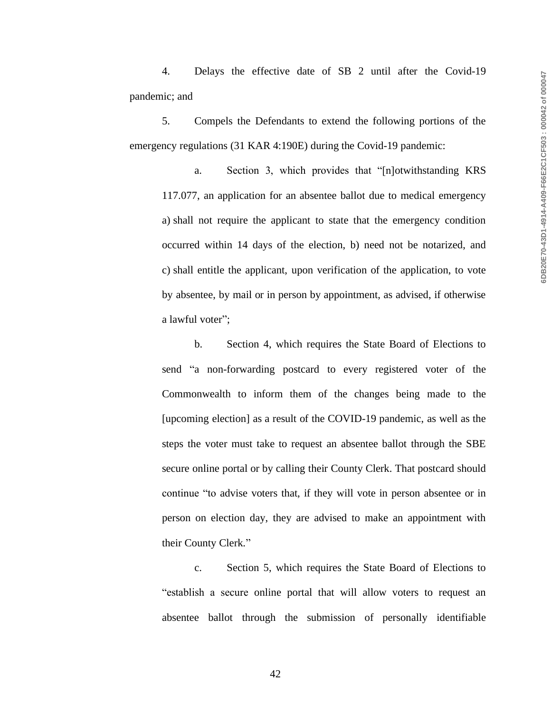4. Delays the effective date of SB 2 until after the Covid-19 pandemic; and

5. Compels the Defendants to extend the following portions of the emergency regulations (31 KAR 4:190E) during the Covid-19 pandemic:

a. Section 3, which provides that "[n]otwithstanding KRS 117.077, an application for an absentee ballot due to medical emergency a) shall not require the applicant to state that the emergency condition occurred within 14 days of the election, b) need not be notarized, and c) shall entitle the applicant, upon verification of the application, to vote by absentee, by mail or in person by appointment, as advised, if otherwise a lawful voter";

b. Section 4, which requires the State Board of Elections to send "a non-forwarding postcard to every registered voter of the Commonwealth to inform them of the changes being made to the [upcoming election] as a result of the COVID-19 pandemic, as well as the steps the voter must take to request an absentee ballot through the SBE secure online portal or by calling their County Clerk. That postcard should continue "to advise voters that, if they will vote in person absentee or in person on election day, they are advised to make an appointment with their County Clerk."

c. Section 5, which requires the State Board of Elections to "establish a secure online portal that will allow voters to request an absentee ballot through the submission of personally identifiable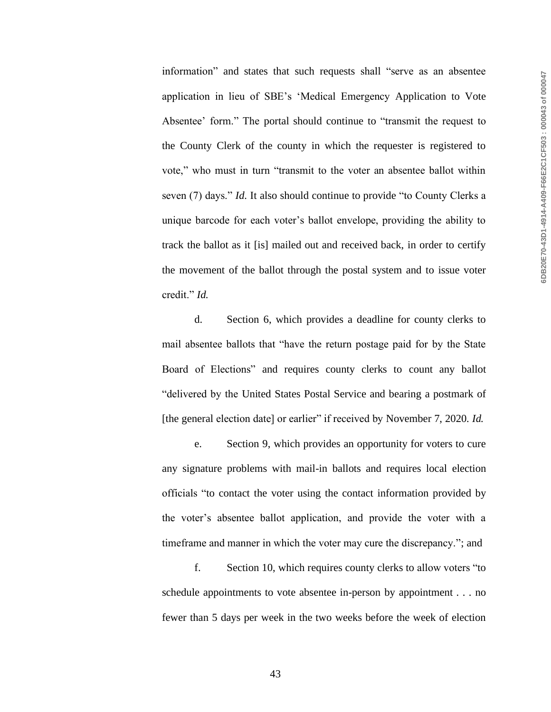information" and states that such requests shall "serve as an absentee application in lieu of SBE's 'Medical Emergency Application to Vote Absentee' form." The portal should continue to "transmit the request to the County Clerk of the county in which the requester is registered to vote," who must in turn "transmit to the voter an absentee ballot within seven (7) days." *Id.* It also should continue to provide "to County Clerks a unique barcode for each voter's ballot envelope, providing the ability to track the ballot as it [is] mailed out and received back, in order to certify the movement of the ballot through the postal system and to issue voter credit." *Id.*

d. Section 6, which provides a deadline for county clerks to mail absentee ballots that "have the return postage paid for by the State Board of Elections" and requires county clerks to count any ballot "delivered by the United States Postal Service and bearing a postmark of [the general election date] or earlier" if received by November 7, 2020. *Id.* 

e. Section 9, which provides an opportunity for voters to cure any signature problems with mail-in ballots and requires local election officials "to contact the voter using the contact information provided by the voter's absentee ballot application, and provide the voter with a timeframe and manner in which the voter may cure the discrepancy."; and

f. Section 10, which requires county clerks to allow voters "to schedule appointments to vote absentee in-person by appointment . . . no fewer than 5 days per week in the two weeks before the week of election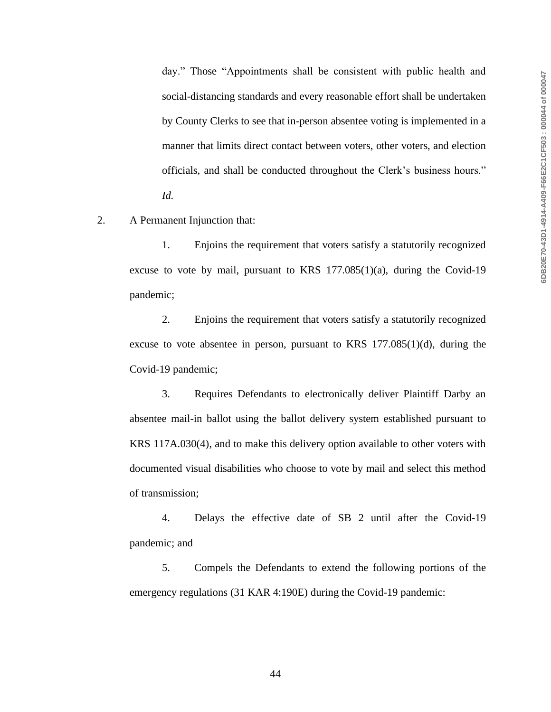day." Those "Appointments shall be consistent with public health and social-distancing standards and every reasonable effort shall be undertaken by County Clerks to see that in-person absentee voting is implemented in a manner that limits direct contact between voters, other voters, and election officials, and shall be conducted throughout the Clerk's business hours." *Id.*

2. A Permanent Injunction that:

1. Enjoins the requirement that voters satisfy a statutorily recognized excuse to vote by mail, pursuant to KRS  $177.085(1)(a)$ , during the Covid-19 pandemic;

2. Enjoins the requirement that voters satisfy a statutorily recognized excuse to vote absentee in person, pursuant to KRS  $177.085(1)(d)$ , during the Covid-19 pandemic;

3. Requires Defendants to electronically deliver Plaintiff Darby an absentee mail-in ballot using the ballot delivery system established pursuant to KRS 117A.030(4), and to make this delivery option available to other voters with documented visual disabilities who choose to vote by mail and select this method of transmission;

4. Delays the effective date of SB 2 until after the Covid-19 pandemic; and

5. Compels the Defendants to extend the following portions of the emergency regulations (31 KAR 4:190E) during the Covid-19 pandemic: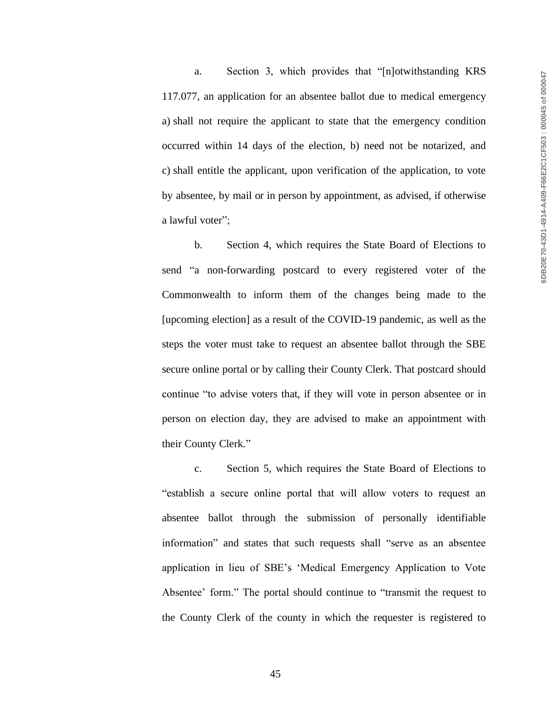a. Section 3, which provides that "[n]otwithstanding KRS 117.077, an application for an absentee ballot due to medical emergency a) shall not require the applicant to state that the emergency condition occurred within 14 days of the election, b) need not be notarized, and c) shall entitle the applicant, upon verification of the application, to vote by absentee, by mail or in person by appointment, as advised, if otherwise a lawful voter";

b. Section 4, which requires the State Board of Elections to send "a non-forwarding postcard to every registered voter of the Commonwealth to inform them of the changes being made to the [upcoming election] as a result of the COVID-19 pandemic, as well as the steps the voter must take to request an absentee ballot through the SBE secure online portal or by calling their County Clerk. That postcard should continue "to advise voters that, if they will vote in person absentee or in person on election day, they are advised to make an appointment with their County Clerk."

c. Section 5, which requires the State Board of Elections to "establish a secure online portal that will allow voters to request an absentee ballot through the submission of personally identifiable information" and states that such requests shall "serve as an absentee application in lieu of SBE's 'Medical Emergency Application to Vote Absentee' form." The portal should continue to "transmit the request to the County Clerk of the county in which the requester is registered to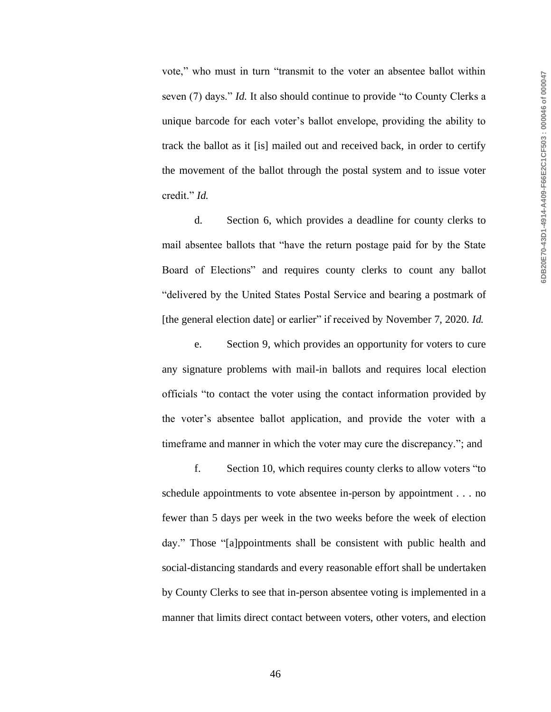vote," who must in turn "transmit to the voter an absentee ballot within seven (7) days." *Id.* It also should continue to provide "to County Clerks a unique barcode for each voter's ballot envelope, providing the ability to track the ballot as it [is] mailed out and received back, in order to certify the movement of the ballot through the postal system and to issue voter credit." *Id.*

d. Section 6, which provides a deadline for county clerks to mail absentee ballots that "have the return postage paid for by the State Board of Elections" and requires county clerks to count any ballot "delivered by the United States Postal Service and bearing a postmark of [the general election date] or earlier" if received by November 7, 2020. *Id.* 

e. Section 9, which provides an opportunity for voters to cure any signature problems with mail-in ballots and requires local election officials "to contact the voter using the contact information provided by the voter's absentee ballot application, and provide the voter with a timeframe and manner in which the voter may cure the discrepancy."; and

f. Section 10, which requires county clerks to allow voters "to schedule appointments to vote absentee in-person by appointment . . . no fewer than 5 days per week in the two weeks before the week of election day." Those "[a]ppointments shall be consistent with public health and social-distancing standards and every reasonable effort shall be undertaken by County Clerks to see that in-person absentee voting is implemented in a manner that limits direct contact between voters, other voters, and election